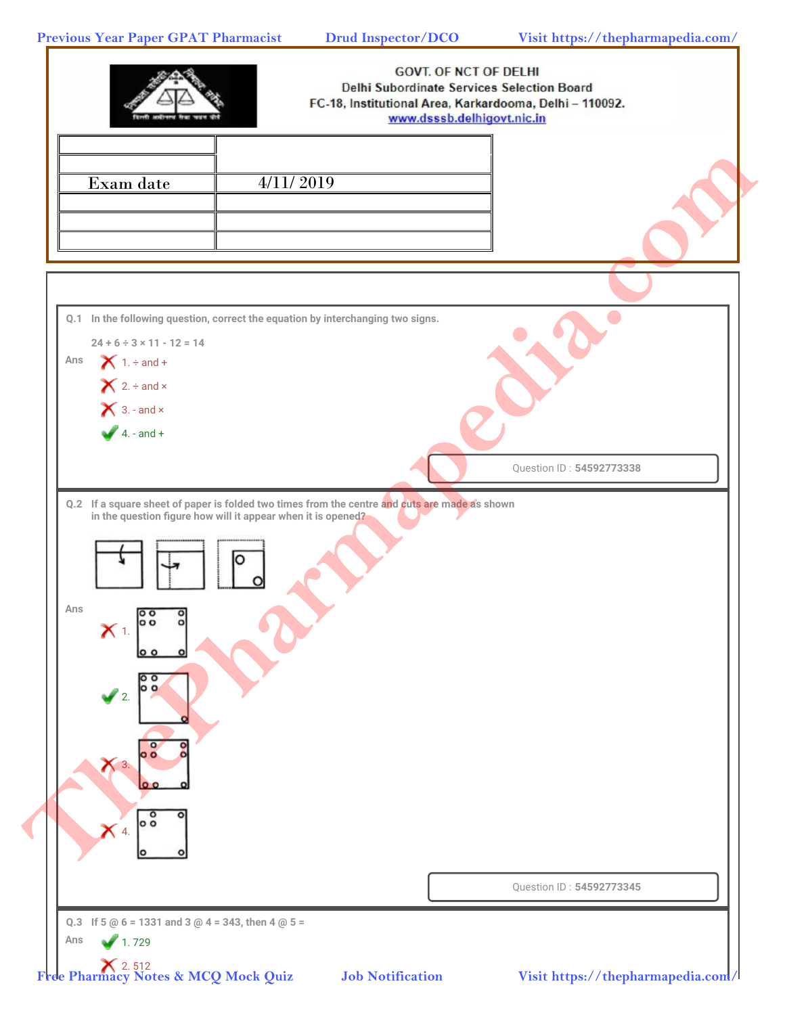**Previous Year Paper GPAT Pharmacist Drud Inspector/DCO Visit https://thepharmapedia.com/**

|                                                                           |                                                                                                                                                               | <b>GOVT. OF NCT OF DELHI</b><br>Delhi Subordinate Services Selection Board<br>FC-18, Institutional Area, Karkardooma, Delhi - 110092.<br>www.dsssb.delhigovt.nic.in |
|---------------------------------------------------------------------------|---------------------------------------------------------------------------------------------------------------------------------------------------------------|---------------------------------------------------------------------------------------------------------------------------------------------------------------------|
| Exam date                                                                 | 4/11/2019                                                                                                                                                     |                                                                                                                                                                     |
|                                                                           |                                                                                                                                                               |                                                                                                                                                                     |
| $24 + 6 \div 3 \times 11 - 12 = 14$<br>Ans                                | Q.1 In the following question, correct the equation by interchanging two signs.                                                                               |                                                                                                                                                                     |
| $\bigtimes$ 1. ÷ and +<br>$X$ 2. ÷ and ×<br>$\bigtimes$ 3. - and $\times$ |                                                                                                                                                               |                                                                                                                                                                     |
| $4. - and +$                                                              |                                                                                                                                                               | Question ID: 54592773338                                                                                                                                            |
|                                                                           | Q.2 If a square sheet of paper is folded two times from the centre and cuts are made as shown<br>in the question figure how will it appear when it is opened? |                                                                                                                                                                     |
|                                                                           |                                                                                                                                                               |                                                                                                                                                                     |
| Ans<br>$\circ$<br>$\mathbf{C}$<br>lo o<br>$\circ$                         |                                                                                                                                                               |                                                                                                                                                                     |
| lo o<br>$\sqrt{2}$                                                        |                                                                                                                                                               |                                                                                                                                                                     |
| $X$ 3.                                                                    |                                                                                                                                                               |                                                                                                                                                                     |
| $\circ$<br>$\overline{\circ}$<br>$\times$ 4.                              |                                                                                                                                                               |                                                                                                                                                                     |
|                                                                           |                                                                                                                                                               | Question ID: 54592773345                                                                                                                                            |
|                                                                           |                                                                                                                                                               |                                                                                                                                                                     |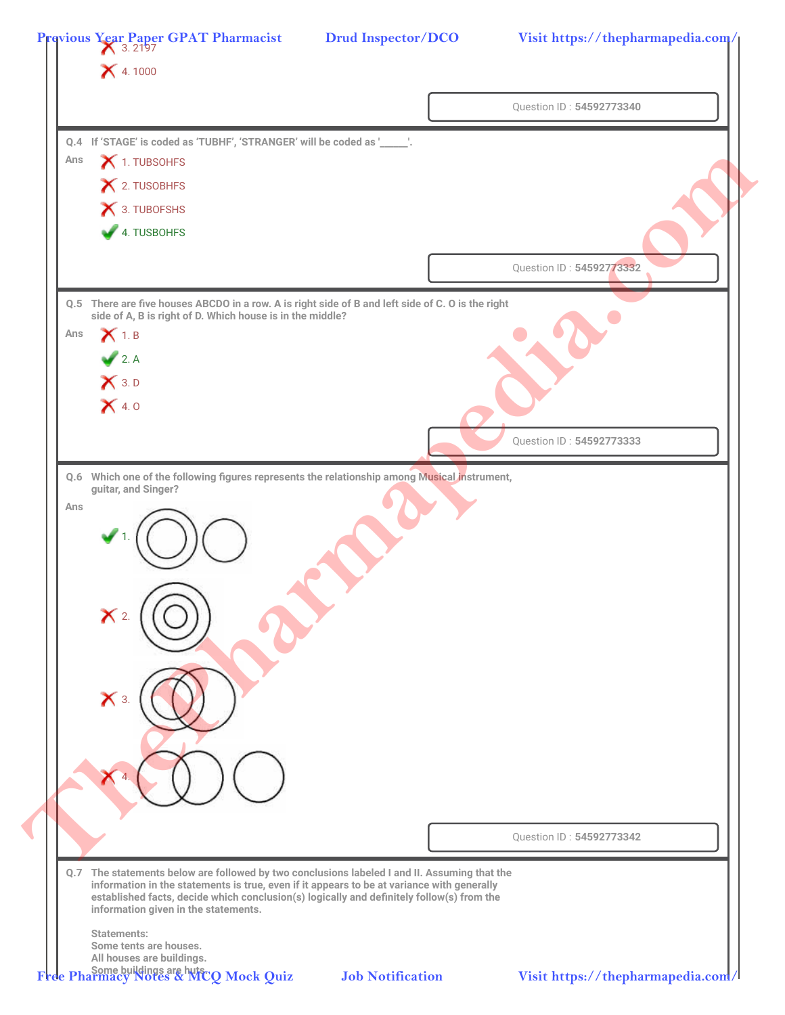|     | <b>X</b> 4.1000                                                          |                                                                                                                                                                                         |                          |
|-----|--------------------------------------------------------------------------|-----------------------------------------------------------------------------------------------------------------------------------------------------------------------------------------|--------------------------|
|     |                                                                          |                                                                                                                                                                                         | Question ID: 54592773340 |
|     | Q.4 If 'STAGE' is coded as 'TUBHF', 'STRANGER' will be coded as '_____'. |                                                                                                                                                                                         |                          |
| Ans | 1. TUBSOHFS                                                              |                                                                                                                                                                                         |                          |
|     | X 2. TUSOBHFS                                                            |                                                                                                                                                                                         |                          |
|     | X 3. TUBOFSHS                                                            |                                                                                                                                                                                         |                          |
|     | 4. TUSBOHFS                                                              |                                                                                                                                                                                         |                          |
|     |                                                                          |                                                                                                                                                                                         | Question ID: 54592773332 |
|     |                                                                          | Q.5 There are five houses ABCDO in a row. A is right side of B and left side of C. O is the right                                                                                       |                          |
| Ans | side of A, B is right of D. Which house is in the middle?<br>$X_{1.B}$   |                                                                                                                                                                                         |                          |
|     | 2. A                                                                     |                                                                                                                                                                                         |                          |
|     | $X$ 3. D                                                                 |                                                                                                                                                                                         |                          |
|     | X4.0                                                                     |                                                                                                                                                                                         |                          |
|     |                                                                          |                                                                                                                                                                                         |                          |
|     |                                                                          |                                                                                                                                                                                         | Question ID: 54592773333 |
|     |                                                                          | Q.6 Which one of the following figures represents the relationship among Musical instrument,                                                                                            |                          |
| Ans | guitar, and Singer?                                                      |                                                                                                                                                                                         |                          |
|     |                                                                          |                                                                                                                                                                                         |                          |
|     |                                                                          |                                                                                                                                                                                         |                          |
|     |                                                                          |                                                                                                                                                                                         |                          |
|     |                                                                          |                                                                                                                                                                                         |                          |
|     | $\mathsf{X}$ 2.                                                          |                                                                                                                                                                                         |                          |
|     |                                                                          |                                                                                                                                                                                         |                          |
|     |                                                                          |                                                                                                                                                                                         |                          |
|     | $\mathsf{X}$ 3.                                                          |                                                                                                                                                                                         |                          |
|     |                                                                          |                                                                                                                                                                                         |                          |
|     |                                                                          |                                                                                                                                                                                         |                          |
|     |                                                                          |                                                                                                                                                                                         |                          |
|     |                                                                          |                                                                                                                                                                                         |                          |
|     |                                                                          |                                                                                                                                                                                         |                          |
|     |                                                                          |                                                                                                                                                                                         | Question ID: 54592773342 |
|     |                                                                          | Q.7 The statements below are followed by two conclusions labeled I and II. Assuming that the                                                                                            |                          |
|     | information given in the statements.                                     | information in the statements is true, even if it appears to be at variance with generally<br>established facts, decide which conclusion(s) logically and definitely follow(s) from the |                          |
|     | <b>Statements:</b><br>Some tents are houses.                             |                                                                                                                                                                                         |                          |
|     |                                                                          |                                                                                                                                                                                         |                          |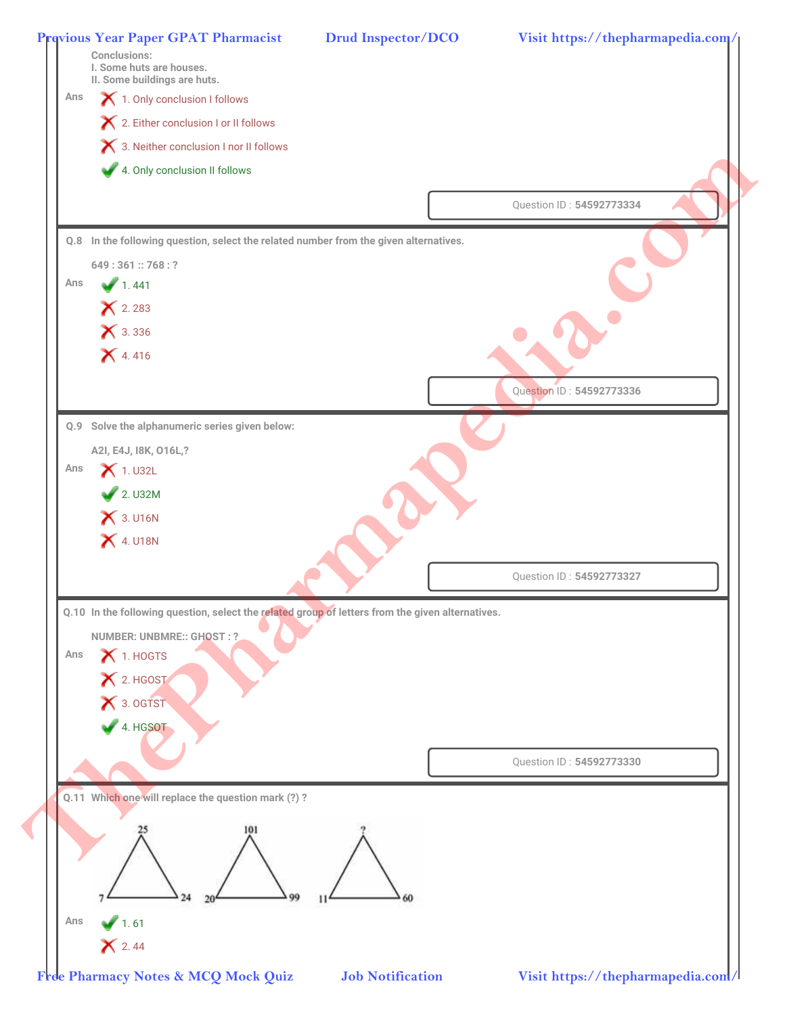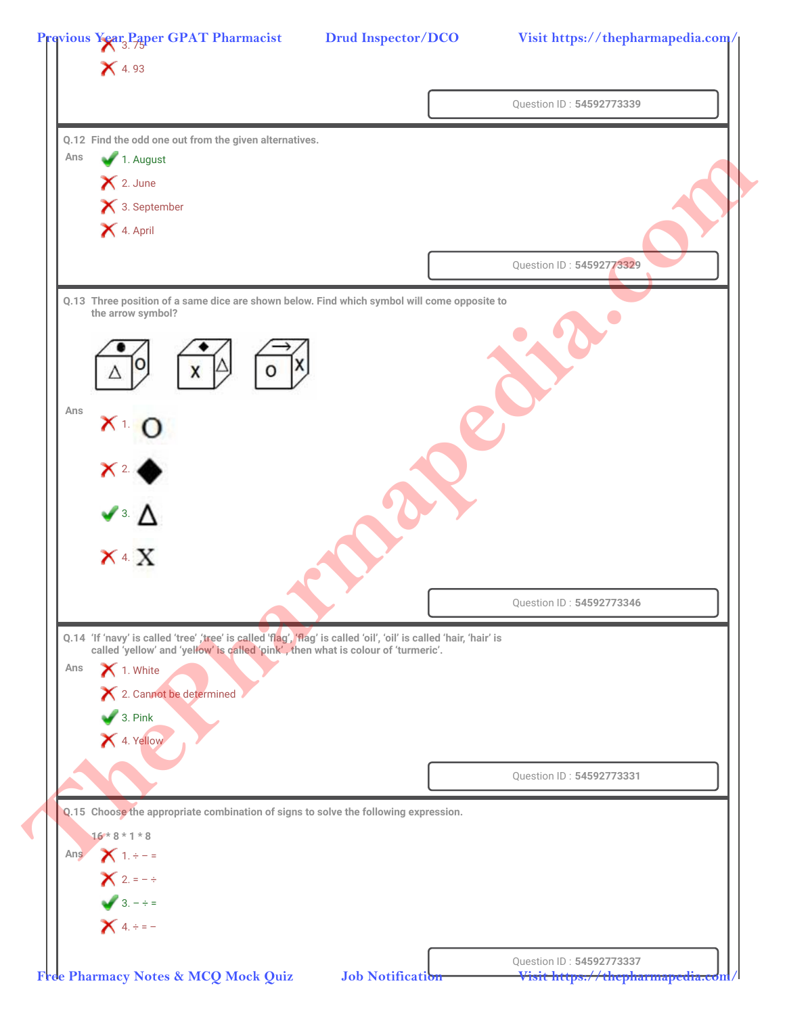| $\mathsf{X}$ 4.93                                                                                                   |                          |
|---------------------------------------------------------------------------------------------------------------------|--------------------------|
|                                                                                                                     | Question ID: 54592773339 |
| Q.12 Find the odd one out from the given alternatives.                                                              |                          |
| 1. August<br>Ans                                                                                                    |                          |
| $\mathsf{X}$ 2. June                                                                                                |                          |
| × 3. September                                                                                                      |                          |
| <b>X</b> 4. April                                                                                                   |                          |
|                                                                                                                     | Question ID: 54592773329 |
|                                                                                                                     |                          |
| Q.13 Three position of a same dice are shown below. Find which symbol will come opposite to<br>the arrow symbol?    |                          |
|                                                                                                                     |                          |
|                                                                                                                     |                          |
|                                                                                                                     |                          |
| Ans                                                                                                                 |                          |
| X <sub>T</sub>                                                                                                      |                          |
|                                                                                                                     |                          |
| $X^2$                                                                                                               |                          |
| $\blacktriangle$ : $\blacktriangle$                                                                                 |                          |
|                                                                                                                     |                          |
| $X^4$ X                                                                                                             |                          |
|                                                                                                                     |                          |
|                                                                                                                     | Question ID: 54592773346 |
| Q.14 'If 'navy' is called 'tree' ,'tree' is called 'flag', 'flag' is called 'oil', 'oil' is called 'hair, 'hair' is |                          |
| called 'yellow' and 'yellow' is called 'pink', then what is colour of 'turmeric'.<br>1. White<br>Ans                |                          |
| X 2. Cannot be determined                                                                                           |                          |
| $\bigvee$ 3. Pink                                                                                                   |                          |
| 1. Yellow                                                                                                           |                          |
|                                                                                                                     |                          |
|                                                                                                                     | Question ID: 54592773331 |
| Q.15 Choose the appropriate combination of signs to solve the following expression.                                 |                          |
| $16*8*1*8$                                                                                                          |                          |
| Ans $X_1 + -1 =$                                                                                                    |                          |
| $X$ 2. = $-$ ÷                                                                                                      |                          |
|                                                                                                                     |                          |
| $3. - \div =$<br>$X = -$                                                                                            |                          |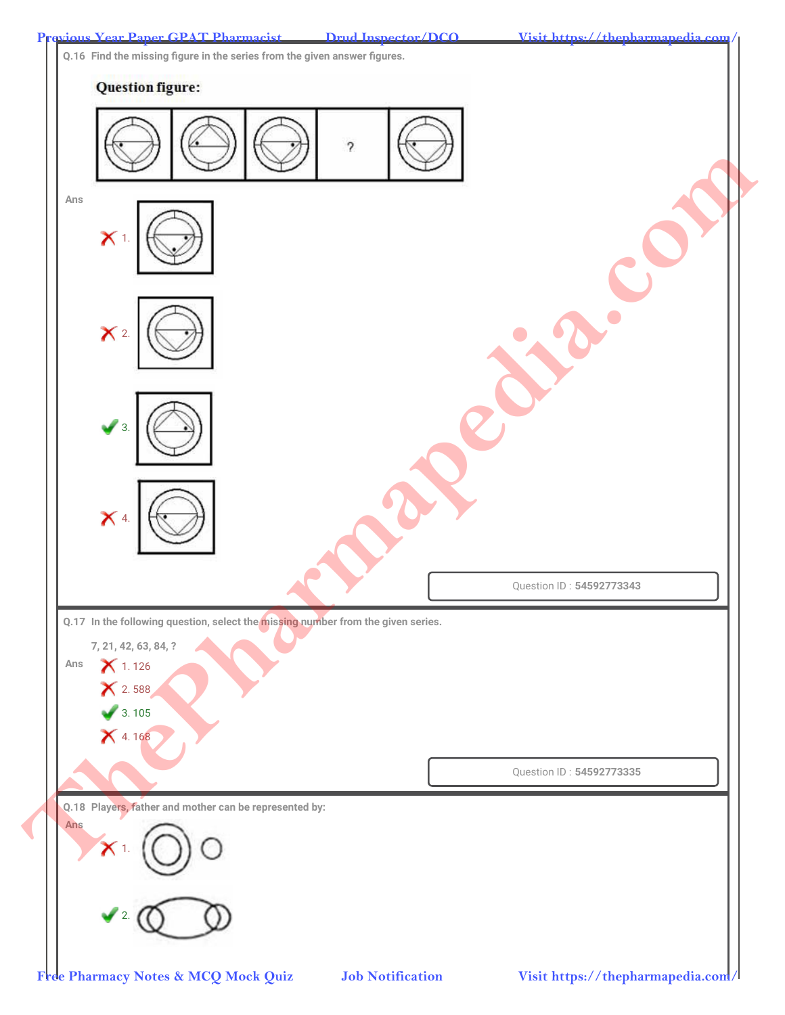**Q.16 Find the missing figure in the series from the given answer figures.**

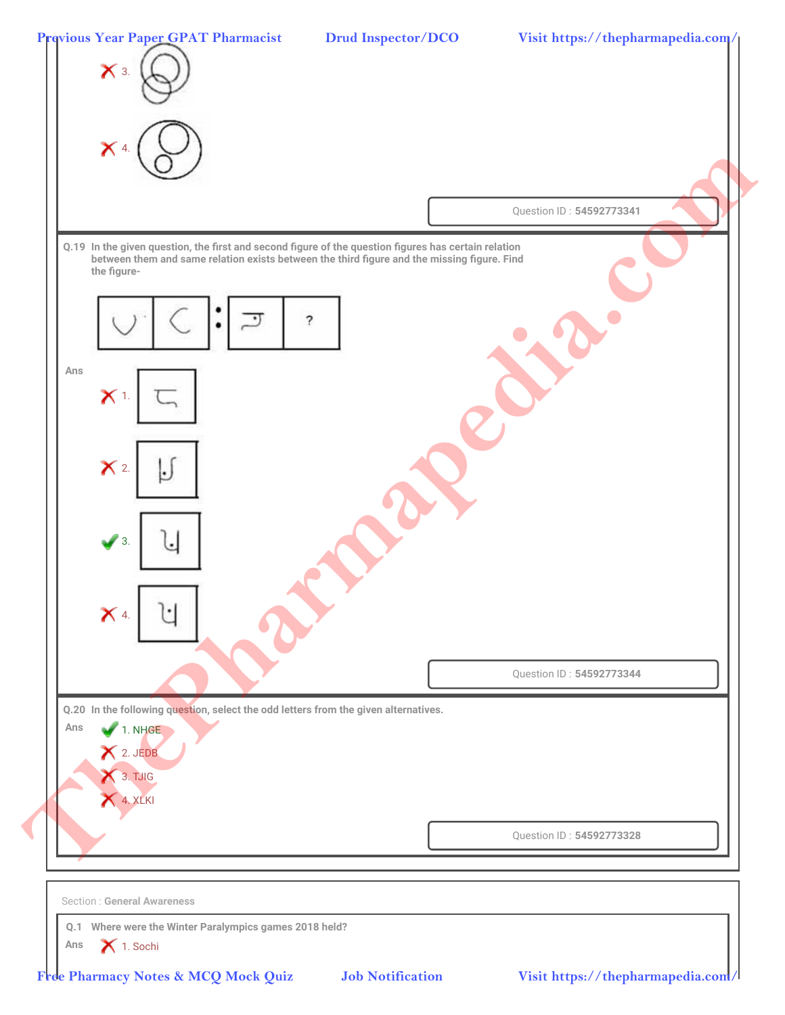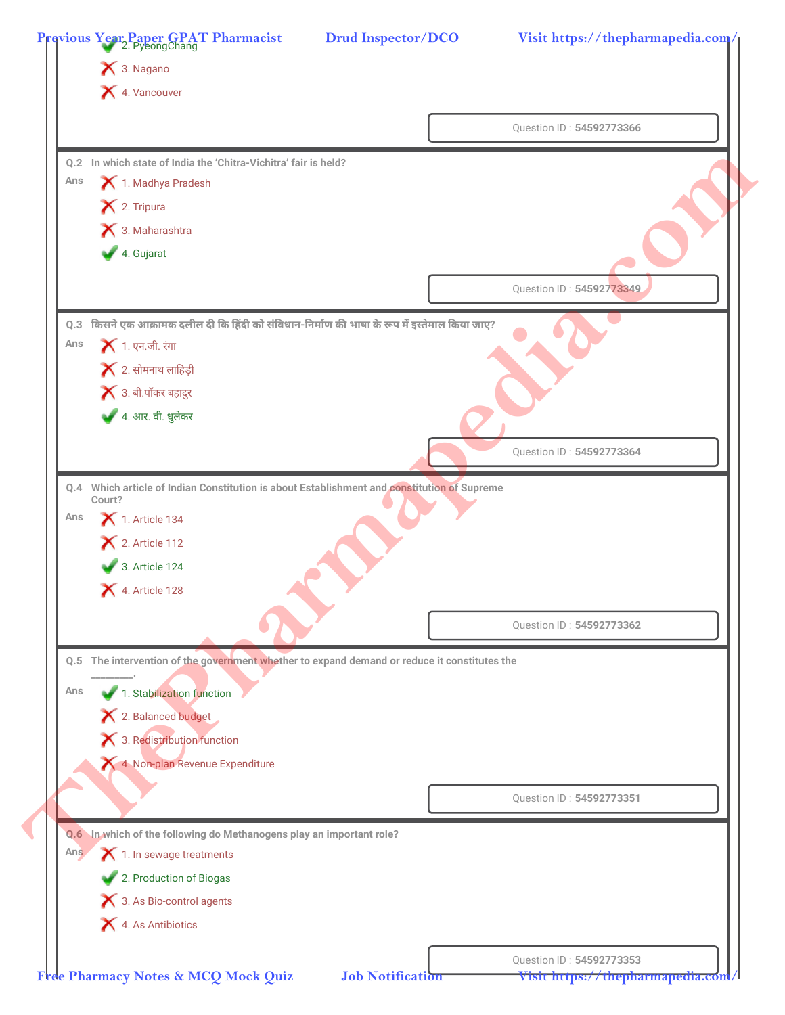|            | 3. Nagano                                                                                    |                          |
|------------|----------------------------------------------------------------------------------------------|--------------------------|
|            | 4. Vancouver                                                                                 |                          |
|            |                                                                                              |                          |
|            |                                                                                              | Question ID: 54592773366 |
|            | Q.2 In which state of India the 'Chitra-Vichitra' fair is held?                              |                          |
| Ans        | 1. Madhya Pradesh                                                                            |                          |
|            | X 2. Tripura                                                                                 |                          |
|            | 3. Maharashtra                                                                               |                          |
|            | 4. Gujarat                                                                                   |                          |
|            |                                                                                              | Question ID: 54592773349 |
|            |                                                                                              |                          |
| Q.3        | किसने एक आक्रामक दलील दी कि हिंदी को संविधान-निर्माण की भाषा के रूप में इस्तेमाल किया जाए?   |                          |
| Ans        | <b>X</b> 1. एन.जी. रंगा                                                                      |                          |
|            | $\blacktriangleright$ 2. सोमनाथ लाहिड़ी                                                      |                          |
|            | $\blacktriangleright$ 3. बी.पॉकर बहादुर                                                      |                          |
|            | 4. आर. वी. धुलेकर                                                                            |                          |
|            |                                                                                              | Question ID: 54592773364 |
|            | Q.4 Which article of Indian Constitution is about Establishment and constitution of Supreme  |                          |
|            | Court?                                                                                       |                          |
| Ans        | $\blacktriangleright$ 1. Article 134                                                         |                          |
|            | $\blacktriangleright$ 2. Article 112                                                         |                          |
|            | 3. Article 124                                                                               |                          |
|            | 4. Article 128                                                                               |                          |
|            |                                                                                              | Question ID: 54592773362 |
|            |                                                                                              |                          |
|            | Q.5 The intervention of the government whether to expand demand or reduce it constitutes the |                          |
|            |                                                                                              |                          |
| Ans        | 1. Stabilization function                                                                    |                          |
|            | X 2. Balanced budget                                                                         |                          |
|            | X 3. Redistribution function                                                                 |                          |
|            | 4. Non-plan Revenue Expenditure                                                              |                          |
|            |                                                                                              |                          |
|            |                                                                                              | Question ID: 54592773351 |
|            | Q.6 In which of the following do Methanogens play an important role?                         |                          |
| <b>Ans</b> | 1. In sewage treatments                                                                      |                          |
|            | 2. Production of Biogas                                                                      |                          |
|            | 3. As Bio-control agents                                                                     |                          |
|            | 4. As Antibiotics                                                                            |                          |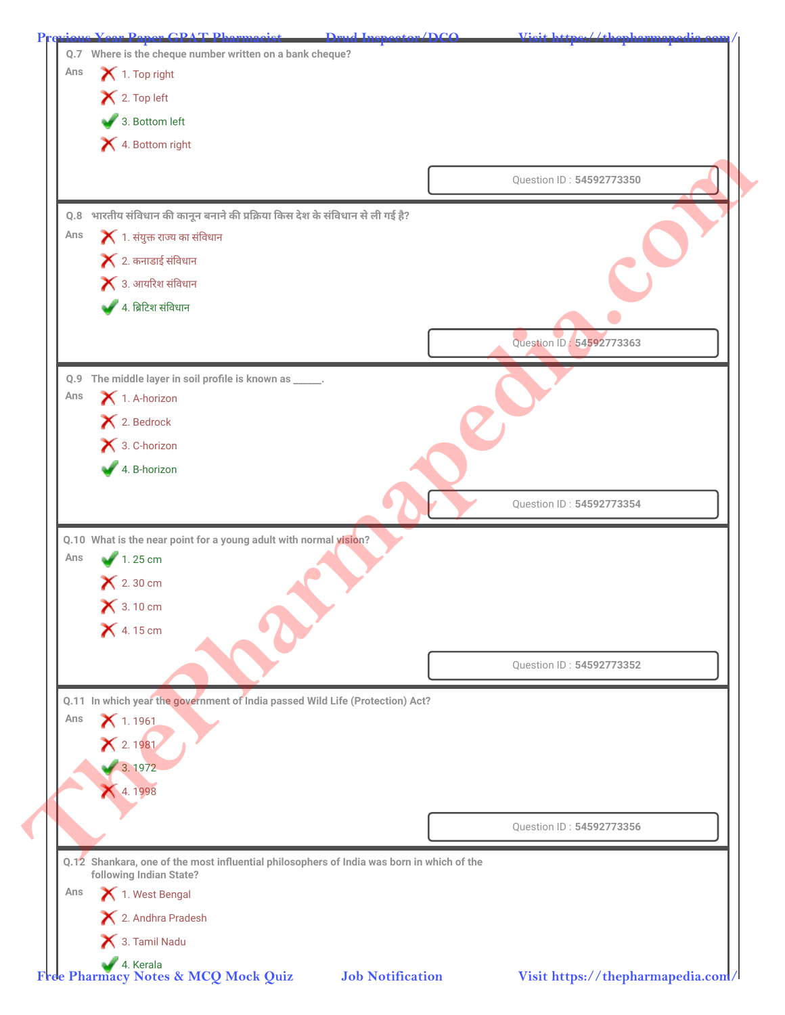| Ans | 1. Top right                                                                              |                          |
|-----|-------------------------------------------------------------------------------------------|--------------------------|
|     | X 2. Top left<br>3. Bottom left                                                           |                          |
|     |                                                                                           |                          |
|     | 4. Bottom right                                                                           |                          |
|     |                                                                                           | Question ID: 54592773350 |
|     | Q.8 भारतीय संविधान की कानून बनाने की प्रक्रिया किस देश के संविधान से ली गई है?            |                          |
| Ans | $\blacktriangleright$ 1. संयुक्त राज्य का संविधान                                         |                          |
|     | $\blacktriangleright$ 2. कनाडाई संविधान                                                   |                          |
|     | $\blacktriangleright$ 3. आयरिश संविधान                                                    |                          |
|     | 4. ब्रिटिश संविधान                                                                        |                          |
|     |                                                                                           | Question ID: 54592773363 |
|     |                                                                                           |                          |
| Ans | Q.9 The middle layer in soil profile is known as _____.<br>$\bigtimes$ 1. A-horizon       |                          |
|     | X 2. Bedrock                                                                              |                          |
|     | × 3. C-horizon                                                                            |                          |
|     | 4. B-horizon                                                                              |                          |
|     |                                                                                           |                          |
|     |                                                                                           | Question ID: 54592773354 |
|     | Q.10 What is the near point for a young adult with normal vision?                         |                          |
| Ans | $1.25 \text{ cm}$                                                                         |                          |
|     | $\mathsf{X}$ 2.30 cm                                                                      |                          |
|     | $\bigtimes$ 3.10 cm                                                                       |                          |
|     | $\bigtimes$ 4.15 cm                                                                       |                          |
|     |                                                                                           | Question ID: 54592773352 |
|     |                                                                                           |                          |
| Ans | Q.11 In which year the government of India passed Wild Life (Protection) Act?             |                          |
|     | $X$ 1.1961<br>X 2.1981                                                                    |                          |
|     | 3.1972                                                                                    |                          |
|     | 4.1998                                                                                    |                          |
|     |                                                                                           |                          |
|     |                                                                                           | Question ID: 54592773356 |
|     | Q.12 Shankara, one of the most influential philosophers of India was born in which of the |                          |
| Ans | following Indian State?<br>1. West Bengal                                                 |                          |
|     | X 2. Andhra Pradesh                                                                       |                          |
|     |                                                                                           |                          |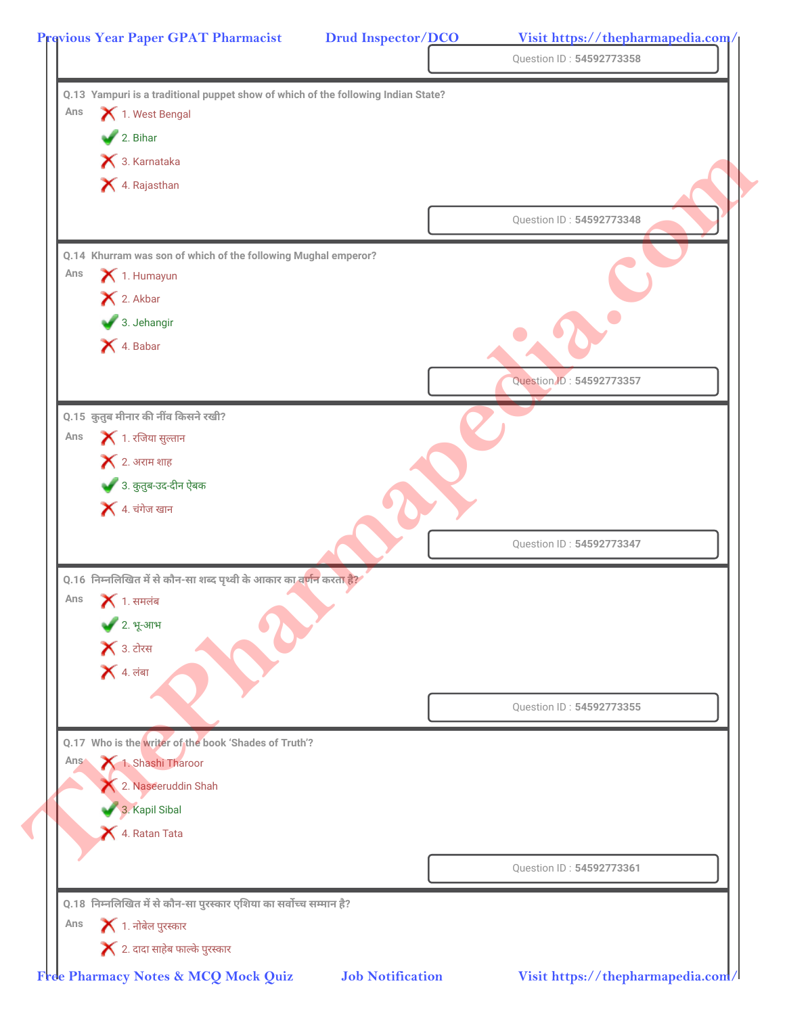|     | Q.13 Yampuri is a traditional puppet show of which of the following Indian State?  |                          |
|-----|------------------------------------------------------------------------------------|--------------------------|
| Ans | 1. West Bengal                                                                     |                          |
|     | 2. Bihar                                                                           |                          |
|     | 3. Karnataka                                                                       |                          |
|     | X 4. Rajasthan                                                                     |                          |
|     |                                                                                    | Question ID: 54592773348 |
|     | Q.14 Khurram was son of which of the following Mughal emperor?                     |                          |
| Ans | 1. Humayun                                                                         |                          |
|     | X 2. Akbar                                                                         |                          |
|     | 3. Jehangir                                                                        |                          |
|     | X 4. Babar                                                                         |                          |
|     |                                                                                    | Question ID: 54592773357 |
|     | Q.15 कुतुब मीनार की नींव किसने रखी?                                                |                          |
| Ans | $\blacktriangleright$ 1. रजिया सुल्तान                                             |                          |
|     | $\blacktriangleright$ 2. अराम शाह                                                  |                          |
|     | 3. कुतुब-उद-दीन ऐबक                                                                |                          |
|     | $\blacktriangleright$ 4. चंगेज खान                                                 |                          |
|     |                                                                                    |                          |
|     |                                                                                    | Question ID: 54592773347 |
|     | Q.16  निम्नलिखित में से कौन-सा शब्द पृथ्वी के आकार का व <mark>र्णन करता है?</mark> |                          |
| Ans | $\blacktriangleright$ 1. समलंब                                                     |                          |
|     | ◆ 2. भू-आभ                                                                         |                          |
|     | $\blacktriangleright$ 3. टोरस                                                      |                          |
|     | $\blacktriangleright$ 4. लंबा                                                      |                          |
|     |                                                                                    | Question ID: 54592773355 |
|     | Q.17 Who is the writer of the book 'Shades of Truth'?                              |                          |
| Ans | 1. Shashi Tharoor                                                                  |                          |
|     | 2. Naseeruddin Shah                                                                |                          |
|     | 3. Kapil Sibal                                                                     |                          |
|     | 4. Ratan Tata                                                                      |                          |
|     |                                                                                    |                          |
|     |                                                                                    | Question ID: 54592773361 |
|     | 0.18 निम्नलिखित में से कौन-सा पुरस्कार एशिया का सर्वोच्च सम्मान है?                |                          |
| Ans | $\blacktriangleright$ 1. नोबेल पुरस्कार                                            |                          |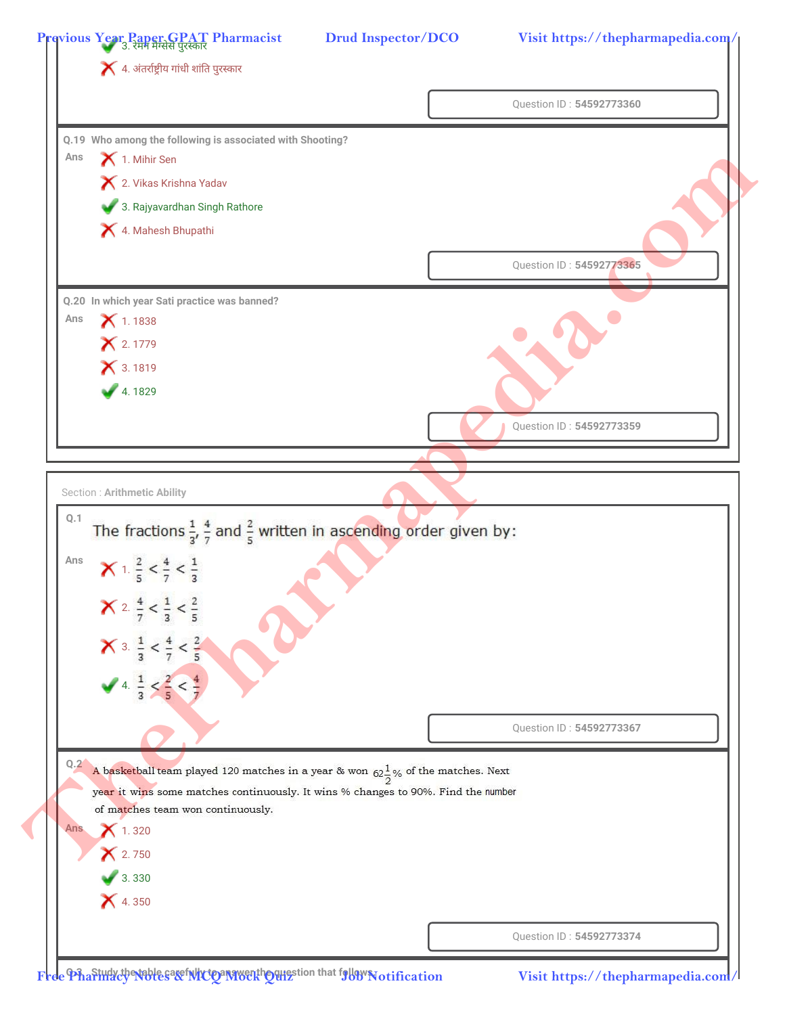|            | $\blacktriangleright$ 4. अंतर्राष्ट्रीय गांधी शांति पुरस्कार                                       |                          |
|------------|----------------------------------------------------------------------------------------------------|--------------------------|
|            |                                                                                                    | Question ID: 54592773360 |
|            | Q.19 Who among the following is associated with Shooting?                                          |                          |
| Ans        | 1. Mihir Sen                                                                                       |                          |
|            | X 2. Vikas Krishna Yadav                                                                           |                          |
|            | 3. Rajyavardhan Singh Rathore                                                                      |                          |
|            | 4. Mahesh Bhupathi                                                                                 |                          |
|            |                                                                                                    | Question ID: 54592773365 |
|            | Q.20 In which year Sati practice was banned?                                                       |                          |
| Ans        | $X$ 1.1838                                                                                         |                          |
|            | × 2.1779                                                                                           |                          |
|            | <b>X</b> 3.1819                                                                                    |                          |
|            | 4.1829                                                                                             |                          |
|            |                                                                                                    |                          |
|            |                                                                                                    | Question ID: 54592773359 |
|            |                                                                                                    |                          |
|            | <b>Section: Arithmetic Ability</b>                                                                 |                          |
| Q.1        |                                                                                                    |                          |
|            | The fractions $\frac{1}{3}$ , $\frac{4}{7}$ and $\frac{2}{5}$ written in ascending order given by: |                          |
| Ans        |                                                                                                    |                          |
|            | $\times$ 1 $\frac{2}{5} < \frac{4}{7} < \frac{1}{3}$                                               |                          |
|            | <b>X</b> 2. $\frac{4}{7} < \frac{1}{3} < \frac{2}{5}$                                              |                          |
|            |                                                                                                    |                          |
|            | <b>X</b> 3. $\frac{1}{3} < \frac{4}{7} < \frac{2}{5}$                                              |                          |
|            |                                                                                                    |                          |
|            | 4. $\frac{1}{3} < \frac{2}{5} < \frac{4}{7}$                                                       |                          |
|            |                                                                                                    | Question ID: 54592773367 |
|            |                                                                                                    |                          |
| Q.2        | A basketball team played 120 matches in a year & won $62\frac{1}{2}\%$ of the matches. Next        |                          |
|            | year it wins some matches continuously. It wins % changes to 90%. Find the number                  |                          |
|            | of matches team won continuously.                                                                  |                          |
| <b>Ans</b> | $X$ 1.320                                                                                          |                          |
|            | $X$ 2.750                                                                                          |                          |
|            | 3.330                                                                                              |                          |
|            | $X$ 4.350                                                                                          |                          |
|            |                                                                                                    |                          |

Free Pharing the sage integral weak begins that follow **Notification**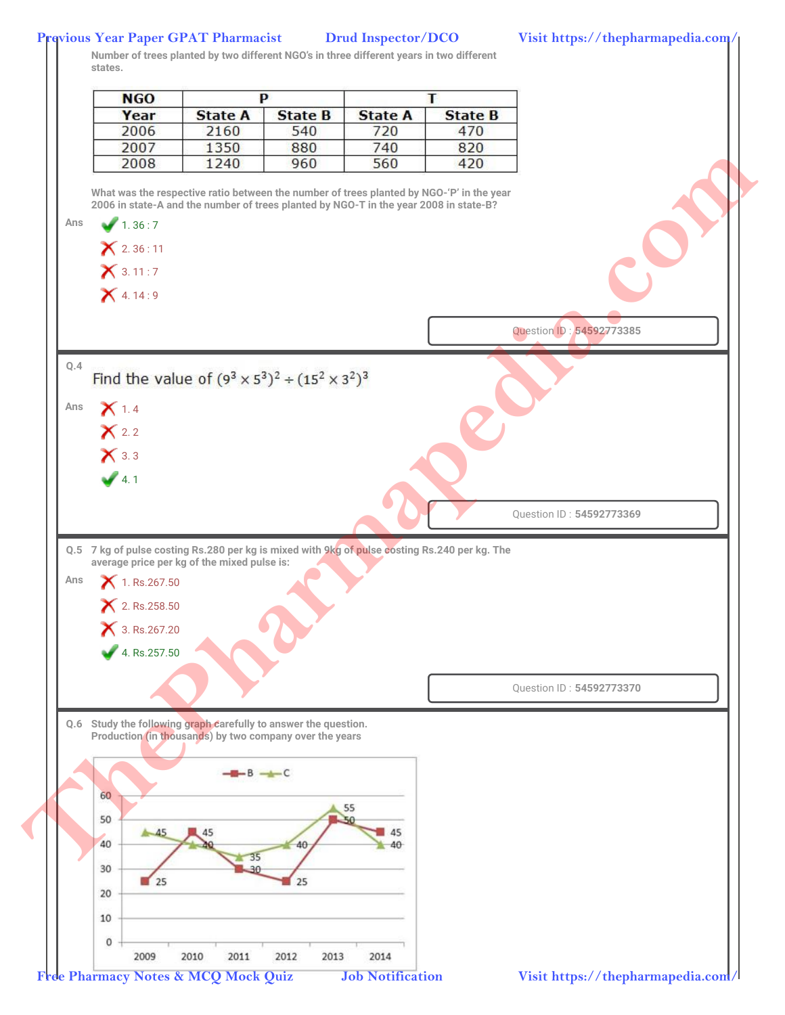## **Previous Year Paper GPAT Pharmacist Drud Inspector/DCO Visit https://thepharmapedia.com/**

**Number of trees planted by two different NGO's in three different years in two different states.**

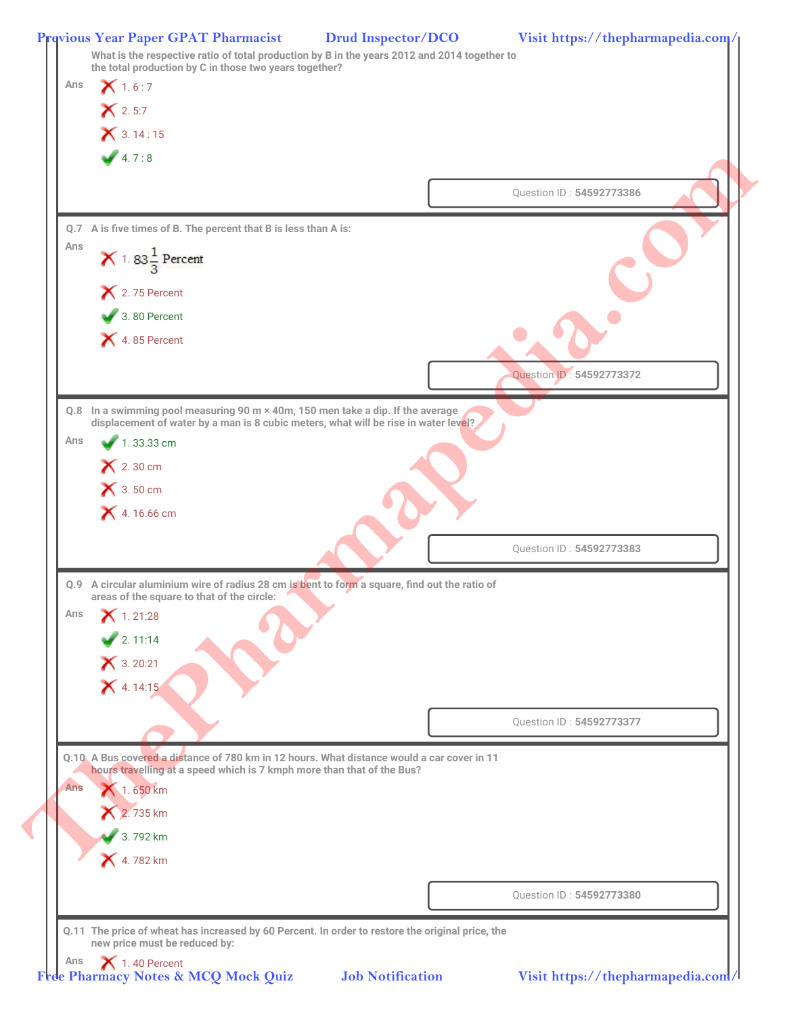| Ans        | $X$ 1.6:7                                                                                                                                   |                                                                                                  |  |
|------------|---------------------------------------------------------------------------------------------------------------------------------------------|--------------------------------------------------------------------------------------------------|--|
|            | $X$ 2.5:7                                                                                                                                   |                                                                                                  |  |
|            | $X$ 3.14:15                                                                                                                                 |                                                                                                  |  |
|            | 4.7:8                                                                                                                                       |                                                                                                  |  |
|            |                                                                                                                                             | Question ID: 54592773386                                                                         |  |
|            |                                                                                                                                             |                                                                                                  |  |
|            | Q.7 A is five times of B. The percent that B is less than A is:                                                                             |                                                                                                  |  |
| Ans        | $\times$ 1.83 $\frac{1}{3}$ Percent                                                                                                         |                                                                                                  |  |
|            |                                                                                                                                             |                                                                                                  |  |
|            | $\mathsf{\times}$ 2.75 Percent<br>3.80 Percent                                                                                              |                                                                                                  |  |
|            | $\blacktriangleright$ 4.85 Percent                                                                                                          |                                                                                                  |  |
|            |                                                                                                                                             |                                                                                                  |  |
|            |                                                                                                                                             | Question ID: 54592773372                                                                         |  |
|            | Q.8 In a swimming pool measuring 90 m × 40m, 150 men take a dip. If the average                                                             |                                                                                                  |  |
|            | displacement of water by a man is 8 cubic meters, what will be rise in water level?                                                         |                                                                                                  |  |
| Ans        | 1.33.33 cm                                                                                                                                  |                                                                                                  |  |
|            | $\bigtimes$ 2.30 cm                                                                                                                         |                                                                                                  |  |
|            | $\bigtimes$ 3.50 cm                                                                                                                         |                                                                                                  |  |
|            | $X$ 4.16.66 cm                                                                                                                              |                                                                                                  |  |
|            |                                                                                                                                             | Question ID: 54592773383                                                                         |  |
|            |                                                                                                                                             |                                                                                                  |  |
|            | Q.9 A circular aluminium wire of radius 28 cm is bent to form a square, find out the ratio of<br>areas of the square to that of the circle: |                                                                                                  |  |
| Ans        | $X$ 1.21:28                                                                                                                                 |                                                                                                  |  |
|            | $\frac{1}{2}$ . 11:14                                                                                                                       |                                                                                                  |  |
|            | $X$ 3. 20:21                                                                                                                                |                                                                                                  |  |
|            | $X$ 4.14:15                                                                                                                                 |                                                                                                  |  |
|            |                                                                                                                                             |                                                                                                  |  |
|            |                                                                                                                                             | Question ID: 54592773377                                                                         |  |
|            | Q.10. A Bus covered a distance of 780 km in 12 hours. What distance would a car cover in 11                                                 |                                                                                                  |  |
|            | hours travelling at a speed which is 7 kmph more than that of the Bus?                                                                      |                                                                                                  |  |
| <b>Ans</b> | 1.650 km                                                                                                                                    |                                                                                                  |  |
|            | 2.735 km                                                                                                                                    |                                                                                                  |  |
|            | 3.792 km                                                                                                                                    |                                                                                                  |  |
|            | <b>X</b> 4.782 km                                                                                                                           |                                                                                                  |  |
|            |                                                                                                                                             |                                                                                                  |  |
|            |                                                                                                                                             | Question ID: 54592773380                                                                         |  |
|            |                                                                                                                                             | Q.11 The price of wheat has increased by 60 Percent. In order to restore the original price, the |  |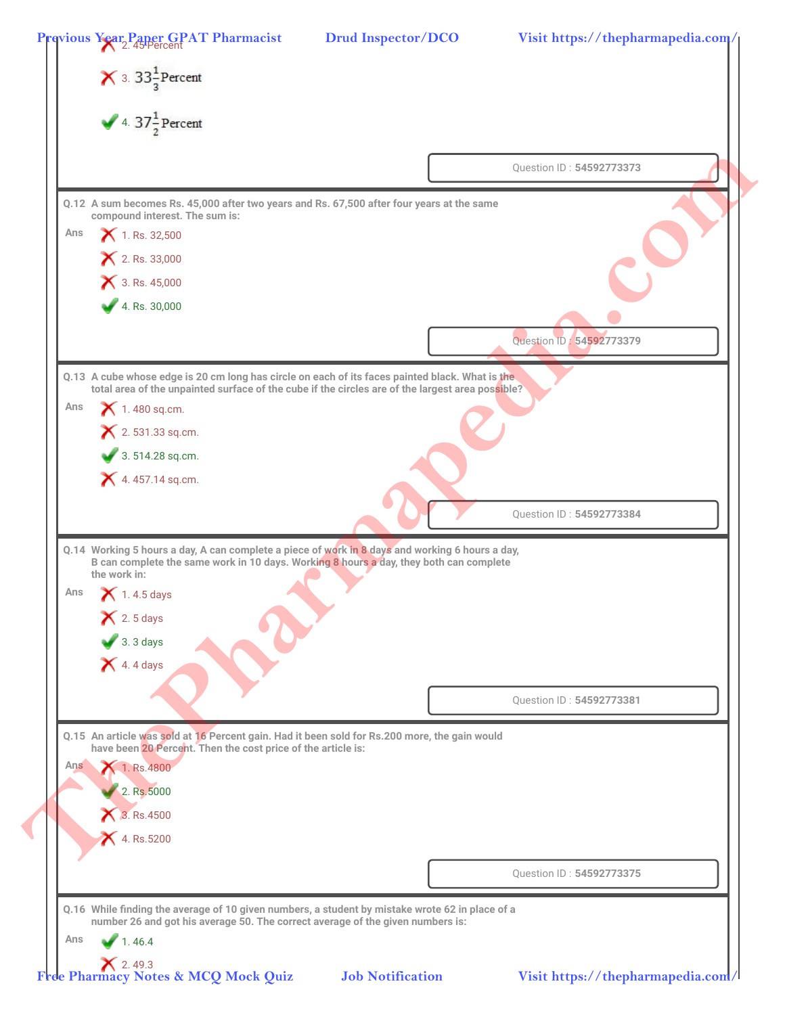|     | 4. $37\frac{1}{2}$ Percent                                                                                                                                                                          |                          |  |
|-----|-----------------------------------------------------------------------------------------------------------------------------------------------------------------------------------------------------|--------------------------|--|
|     |                                                                                                                                                                                                     | Question ID: 54592773373 |  |
|     | Q.12 A sum becomes Rs. 45,000 after two years and Rs. 67,500 after four years at the same<br>compound interest. The sum is:                                                                         |                          |  |
| Ans | 1. Rs. 32,500                                                                                                                                                                                       |                          |  |
|     | 2. Rs. 33,000                                                                                                                                                                                       |                          |  |
|     | 3. Rs. 45,000                                                                                                                                                                                       |                          |  |
|     | 4. Rs. $30,000$                                                                                                                                                                                     |                          |  |
|     |                                                                                                                                                                                                     | Question ID: 54592773379 |  |
|     |                                                                                                                                                                                                     |                          |  |
|     | Q.13 A cube whose edge is 20 cm long has circle on each of its faces painted black. What is the<br>total area of the unpainted surface of the cube if the circles are of the largest area possible? |                          |  |
| Ans | $\bigtimes$ 1.480 sq.cm.                                                                                                                                                                            |                          |  |
|     | $X$ 2. 531.33 sq.cm.                                                                                                                                                                                |                          |  |
|     | $3.514.28$ sq.cm.                                                                                                                                                                                   |                          |  |
|     | $\blacktriangleright$ 4.457.14 sq.cm.                                                                                                                                                               |                          |  |
|     |                                                                                                                                                                                                     | Question ID: 54592773384 |  |
|     | Q.14 Working 5 hours a day, A can complete a piece of work in 8 days and working 6 hours a day,                                                                                                     |                          |  |
|     | B can complete the same work in 10 days. Working 8 hours a day, they both can complete<br>the work in:                                                                                              |                          |  |
| Ans | $\blacktriangleright$ 1.4.5 days                                                                                                                                                                    |                          |  |
|     | $\bigtimes$ 2.5 days                                                                                                                                                                                |                          |  |
|     | $\bullet$ 3.3 days                                                                                                                                                                                  |                          |  |
|     | $\blacktriangleright$ 4.4 days                                                                                                                                                                      |                          |  |
|     |                                                                                                                                                                                                     |                          |  |
|     |                                                                                                                                                                                                     | Question ID: 54592773381 |  |
|     | Q.15 An article was sold at 16 Percent gain. Had it been sold for Rs.200 more, the gain would<br>have been 20 Percent. Then the cost price of the article is:                                       |                          |  |
| Ans | 1. Rs. 4800                                                                                                                                                                                         |                          |  |
|     | 2. Rs.5000                                                                                                                                                                                          |                          |  |
|     | 3. Rs.4500                                                                                                                                                                                          |                          |  |
|     | $X$ 4. Rs.5200                                                                                                                                                                                      |                          |  |
|     |                                                                                                                                                                                                     |                          |  |
|     |                                                                                                                                                                                                     | Question ID: 54592773375 |  |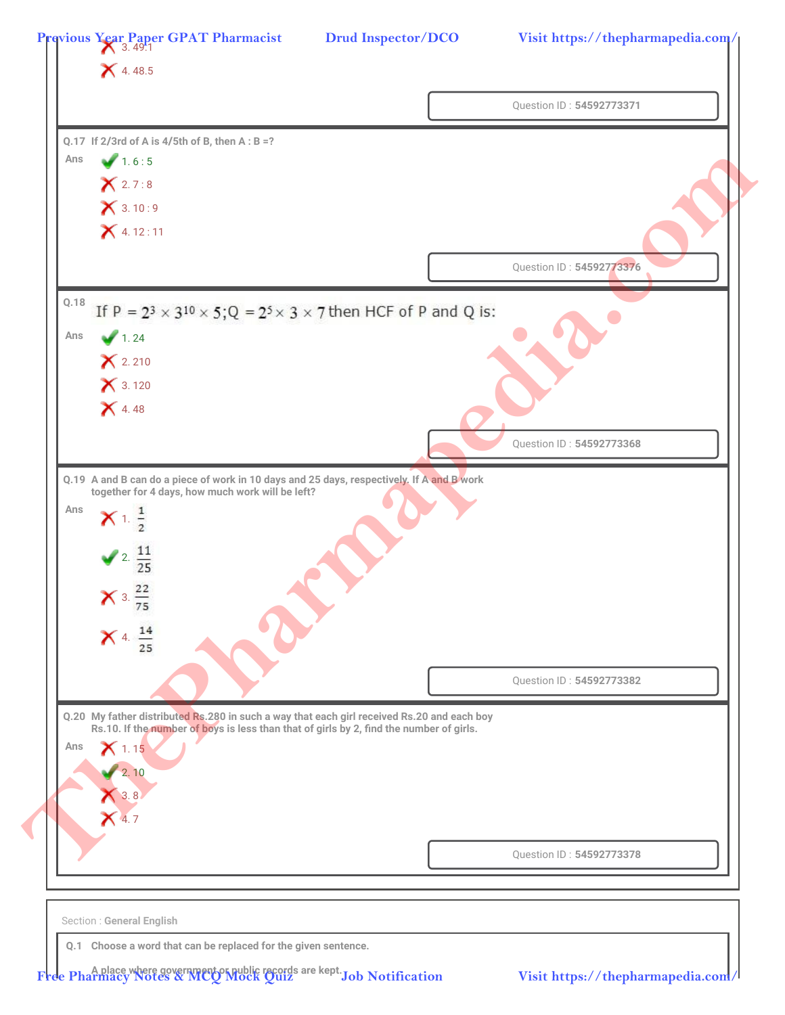|                                                                                                   | Question ID: 54592773371 |
|---------------------------------------------------------------------------------------------------|--------------------------|
|                                                                                                   |                          |
| Q.17 If $2/3$ rd of A is $4/5$ th of B, then A : B =?<br>Ans                                      |                          |
| 1.6:5                                                                                             |                          |
| X 2.7:8<br>X 3.10:9                                                                               |                          |
| $X$ 4.12:11                                                                                       |                          |
|                                                                                                   |                          |
|                                                                                                   | Question ID: 54592773376 |
| Q.18<br>If P = $2^3 \times 3^{10} \times 5$ ; Q = $2^5 \times 3 \times 7$ then HCF of P and Q is: |                          |
| 1.24<br>Ans                                                                                       |                          |
| $X$ 2.210                                                                                         |                          |
| $X$ 3.120                                                                                         |                          |
| $X$ 4.48                                                                                          |                          |
|                                                                                                   |                          |
|                                                                                                   | Question ID: 54592773368 |
| Q.19 A and B can do a piece of work in 10 days and 25 days, respectively. If A and B work         |                          |
| together for 4 days, how much work will be left?<br>Ans                                           |                          |
| $X^{1.1}$                                                                                         |                          |
| $\frac{11}{25}$                                                                                   |                          |
|                                                                                                   |                          |
| $\times$ 3. $\frac{22}{75}$                                                                       |                          |
| $X$ 4. $\frac{14}{25}$                                                                            |                          |
|                                                                                                   |                          |
|                                                                                                   | Question ID: 54592773382 |
| Q.20 My father distributed Rs.280 in such a way that each girl received Rs.20 and each boy        |                          |
| Rs.10. If the number of boys is less than that of girls by 2, find the number of girls.           |                          |
| Ans<br>$\mathsf{X}$ 1.15                                                                          |                          |
| 2.10                                                                                              |                          |
| $\bigvee$ 3.8                                                                                     |                          |
| $X$ 4.7                                                                                           |                          |
|                                                                                                   | Question ID: 54592773378 |
|                                                                                                   |                          |
|                                                                                                   |                          |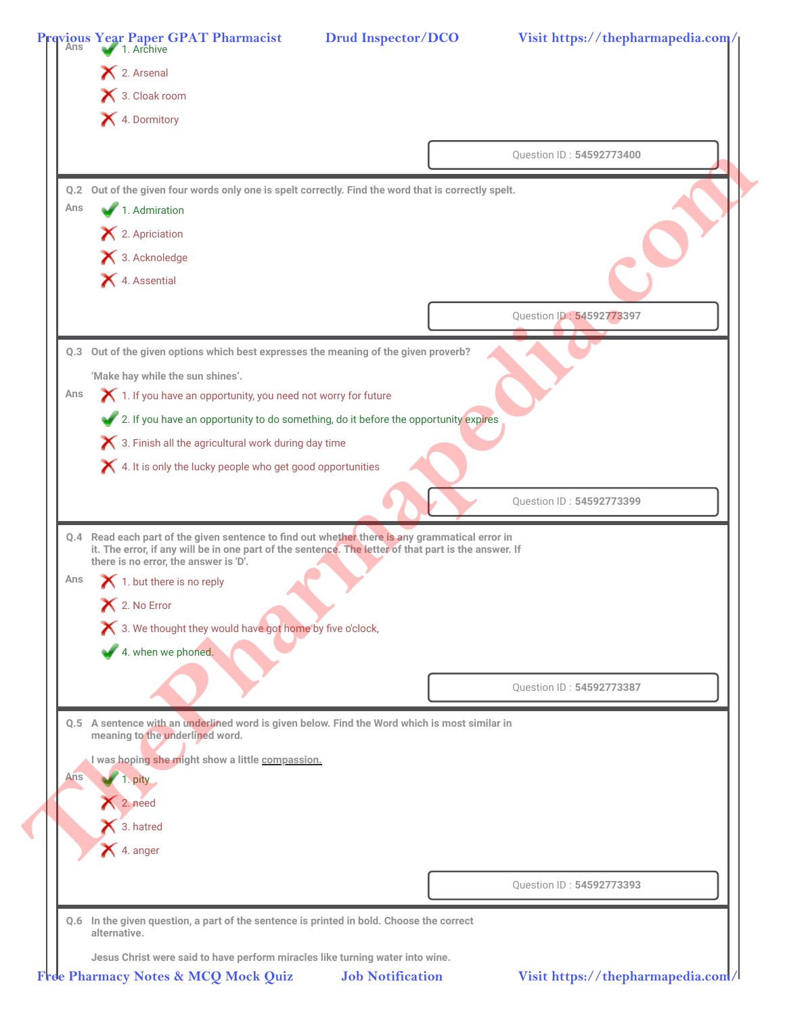|     | × 3. Cloak room<br>X 4. Dormitory                                                                                                                                                                      |  |
|-----|--------------------------------------------------------------------------------------------------------------------------------------------------------------------------------------------------------|--|
|     |                                                                                                                                                                                                        |  |
|     | Question ID: 54592773400                                                                                                                                                                               |  |
|     | Q.2 Out of the given four words only one is spelt correctly. Find the word that is correctly spelt.                                                                                                    |  |
| Ans | 1. Admiration                                                                                                                                                                                          |  |
|     | 12. Apriciation                                                                                                                                                                                        |  |
|     | 3. Acknoledge                                                                                                                                                                                          |  |
|     | X 4. Assential                                                                                                                                                                                         |  |
|     | Question ID: 54592773397                                                                                                                                                                               |  |
|     |                                                                                                                                                                                                        |  |
|     | Q.3 Out of the given options which best expresses the meaning of the given proverb?                                                                                                                    |  |
|     | 'Make hay while the sun shines'.                                                                                                                                                                       |  |
| Ans | 1. If you have an opportunity, you need not worry for future                                                                                                                                           |  |
|     | 2. If you have an opportunity to do something, do it before the opportunity expires                                                                                                                    |  |
|     | 3. Finish all the agricultural work during day time                                                                                                                                                    |  |
|     | X 4. It is only the lucky people who get good opportunities                                                                                                                                            |  |
|     | Question ID: 54592773399                                                                                                                                                                               |  |
|     |                                                                                                                                                                                                        |  |
|     | Q.4 Read each part of the given sentence to find out whether there is any grammatical error in<br>it. The error, if any will be in one part of the sentence. The letter of that part is the answer. If |  |
| Ans | there is no error, the answer is 'D'.                                                                                                                                                                  |  |
|     | $\blacktriangleright$ 1. but there is no reply                                                                                                                                                         |  |
|     | $\blacktriangleright$ 2. No Error<br>X 3. We thought they would have got home by five o'clock,                                                                                                         |  |
|     | 4. when we phoned.                                                                                                                                                                                     |  |
|     |                                                                                                                                                                                                        |  |
|     | Question ID: 54592773387                                                                                                                                                                               |  |
|     |                                                                                                                                                                                                        |  |
|     | Q.5 A sentence with an underlined word is given below. Find the Word which is most similar in<br>meaning to the underlined word.                                                                       |  |
|     | I was hoping she might show a little compassion.                                                                                                                                                       |  |
| Ans | 1. pity                                                                                                                                                                                                |  |
|     | $2.$ need                                                                                                                                                                                              |  |
|     | 3. hatred                                                                                                                                                                                              |  |
|     | $\blacktriangleright$ 4. anger                                                                                                                                                                         |  |
|     |                                                                                                                                                                                                        |  |
|     | Question ID: 54592773393                                                                                                                                                                               |  |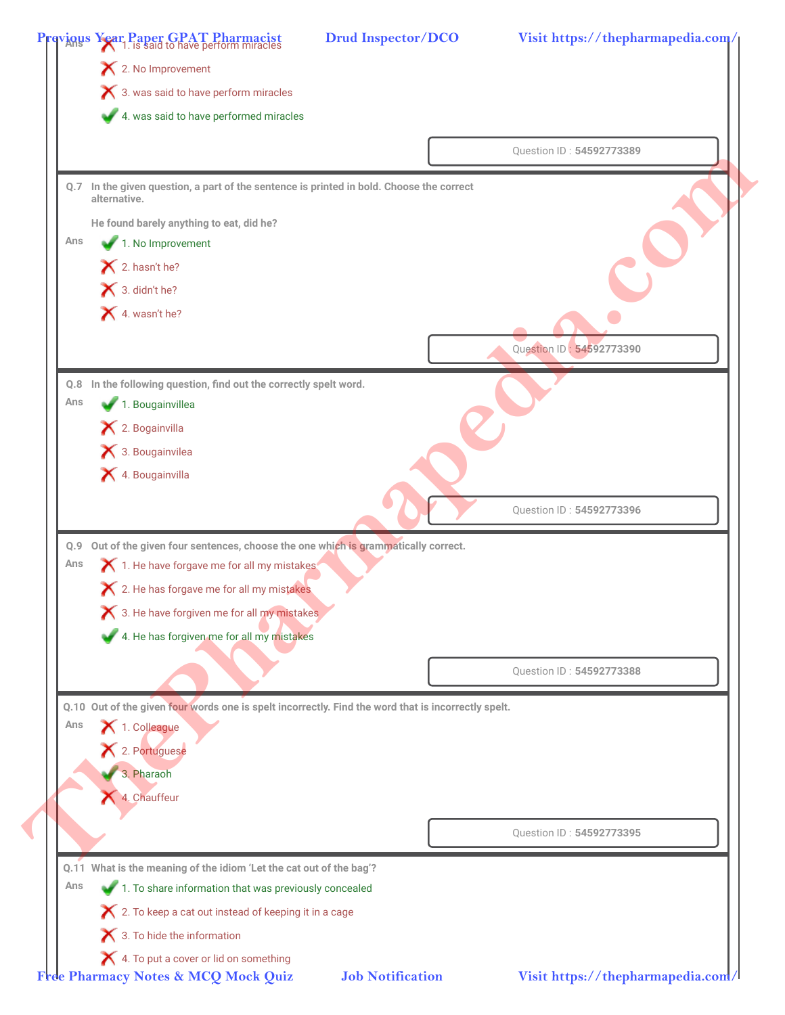|            | $\mathsf{\times}$ 2. No Improvement                                                                                          |                          |
|------------|------------------------------------------------------------------------------------------------------------------------------|--------------------------|
|            | 3. was said to have perform miracles                                                                                         |                          |
|            | 4. was said to have performed miracles                                                                                       |                          |
|            |                                                                                                                              | Question ID: 54592773389 |
|            | Q.7 In the given question, a part of the sentence is printed in bold. Choose the correct<br>alternative.                     |                          |
|            | He found barely anything to eat, did he?                                                                                     |                          |
| Ans        | 1. No Improvement                                                                                                            |                          |
|            | 2. hasn't he?                                                                                                                |                          |
|            | 3. didn't he?                                                                                                                |                          |
|            | 4. wasn't he?                                                                                                                |                          |
|            |                                                                                                                              |                          |
|            |                                                                                                                              | Question ID: 54592773390 |
|            | Q.8 In the following question, find out the correctly spelt word.                                                            |                          |
| Ans        | 1. Bougainvillea                                                                                                             |                          |
|            | 12. Bogainvilla                                                                                                              |                          |
|            | 3. Bougainvilea                                                                                                              |                          |
|            | X 4. Bougainvilla                                                                                                            |                          |
|            |                                                                                                                              | Question ID: 54592773396 |
|            |                                                                                                                              |                          |
| Q.9<br>Ans | Out of the given four sentences, choose the one which is grammatically correct.<br>1. He have forgave me for all my mistakes |                          |
|            | X 2. He has forgave me for all my mistakes                                                                                   |                          |
|            | X 3. He have forgiven me for all my mistakes                                                                                 |                          |
|            | 4. He has forgiven me for all my mistakes                                                                                    |                          |
|            |                                                                                                                              |                          |
|            |                                                                                                                              | Question ID: 54592773388 |
|            | Q.10 Out of the given four words one is spelt incorrectly. Find the word that is incorrectly spelt.                          |                          |
| Ans        | 1. Colleague                                                                                                                 |                          |
|            | X 2. Portuguese                                                                                                              |                          |
|            | 3. Pharaoh                                                                                                                   |                          |
|            | 4. Chauffeur                                                                                                                 |                          |
|            |                                                                                                                              |                          |
|            |                                                                                                                              | Question ID: 54592773395 |
|            | Q.11 What is the meaning of the idiom 'Let the cat out of the bag'?                                                          |                          |
|            | 1. To share information that was previously concealed                                                                        |                          |
| Ans        |                                                                                                                              |                          |
|            | X 2. To keep a cat out instead of keeping it in a cage                                                                       |                          |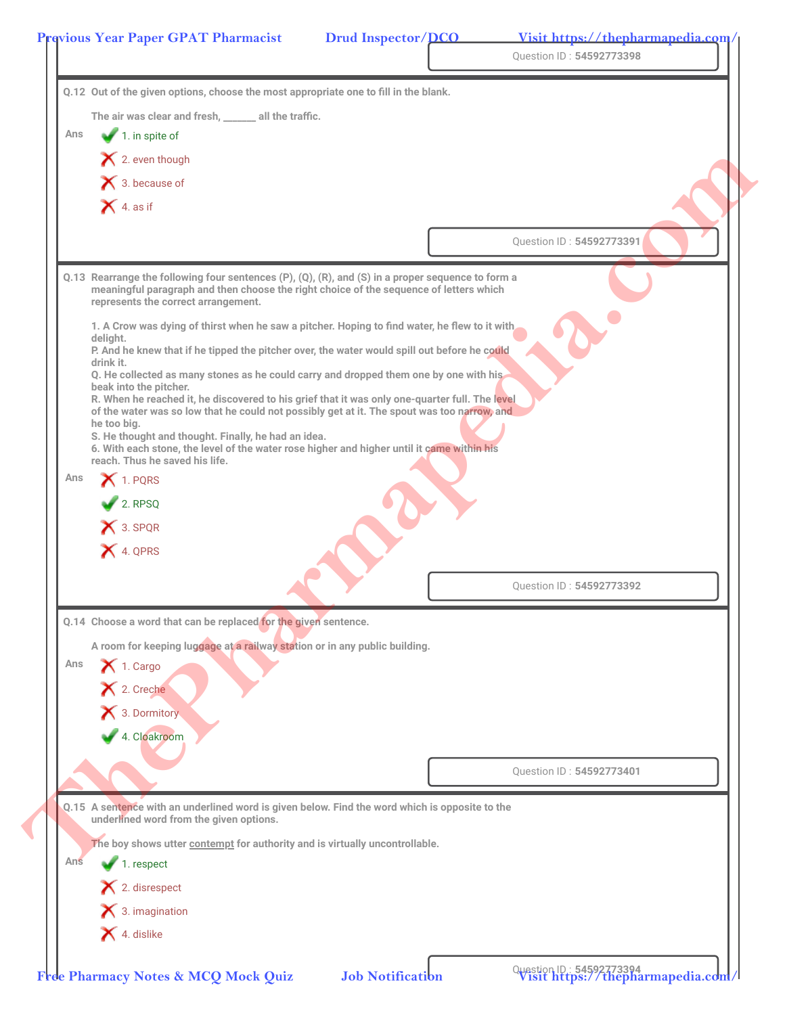|     |                                                                                                                                                                                                                                    | Question ID: 54592773398 |  |
|-----|------------------------------------------------------------------------------------------------------------------------------------------------------------------------------------------------------------------------------------|--------------------------|--|
|     | Q.12 Out of the given options, choose the most appropriate one to fill in the blank.                                                                                                                                               |                          |  |
|     | The air was clear and fresh, _____ all the traffic.                                                                                                                                                                                |                          |  |
| Ans | $\blacktriangleright$ 1. in spite of                                                                                                                                                                                               |                          |  |
|     | $\blacktriangleright$ 2. even though                                                                                                                                                                                               |                          |  |
|     | $\blacktriangleright$ 3. because of                                                                                                                                                                                                |                          |  |
|     | $\bigtimes$ 4. as if                                                                                                                                                                                                               |                          |  |
|     |                                                                                                                                                                                                                                    | Question ID: 54592773391 |  |
|     | Q.13 Rearrange the following four sentences (P), (Q), (R), and (S) in a proper sequence to form a<br>meaningful paragraph and then choose the right choice of the sequence of letters which<br>represents the correct arrangement. |                          |  |
|     | 1. A Crow was dying of thirst when he saw a pitcher. Hoping to find water, he flew to it with,                                                                                                                                     |                          |  |
|     | deliaht.<br>P. And he knew that if he tipped the pitcher over, the water would spill out before he could                                                                                                                           |                          |  |
|     | drink it.<br>Q. He collected as many stones as he could carry and dropped them one by one with his                                                                                                                                 |                          |  |
|     | beak into the pitcher.<br>R. When he reached it, he discovered to his grief that it was only one-quarter full. The level                                                                                                           |                          |  |
|     | of the water was so low that he could not possibly get at it. The spout was too narrow, and<br>he too big.                                                                                                                         |                          |  |
|     | S. He thought and thought. Finally, he had an idea.<br>6. With each stone, the level of the water rose higher and higher until it came within his<br>reach. Thus he saved his life.                                                |                          |  |
| Ans | $\blacktriangleright$ 1. PQRS                                                                                                                                                                                                      |                          |  |
|     | $\overline{2}$ . RPSQ                                                                                                                                                                                                              |                          |  |
|     | X 3. SPQR                                                                                                                                                                                                                          |                          |  |
|     | X 4. QPRS                                                                                                                                                                                                                          |                          |  |
|     |                                                                                                                                                                                                                                    |                          |  |
|     |                                                                                                                                                                                                                                    | Question ID: 54592773392 |  |
|     | Q.14 Choose a word that can be replaced for the given sentence.                                                                                                                                                                    |                          |  |
|     | A room for keeping luggage at a railway station or in any public building.                                                                                                                                                         |                          |  |
| Ans | $\blacktriangleright$ 1. Cargo                                                                                                                                                                                                     |                          |  |
|     | X 2. Creche                                                                                                                                                                                                                        |                          |  |
|     | X 3. Dormitory                                                                                                                                                                                                                     |                          |  |
|     | 4. Cloakroom                                                                                                                                                                                                                       |                          |  |
|     |                                                                                                                                                                                                                                    |                          |  |
|     |                                                                                                                                                                                                                                    | Question ID: 54592773401 |  |
|     | Q.15 A sentence with an underlined word is given below. Find the word which is opposite to the                                                                                                                                     |                          |  |
|     | underlined word from the given options.                                                                                                                                                                                            |                          |  |
|     | The boy shows utter contempt for authority and is virtually uncontrollable.                                                                                                                                                        |                          |  |
| Ans | 1. respect                                                                                                                                                                                                                         |                          |  |
|     | 12. disrespect                                                                                                                                                                                                                     |                          |  |
|     | $\blacktriangleright$ 3. imagination                                                                                                                                                                                               |                          |  |
|     |                                                                                                                                                                                                                                    |                          |  |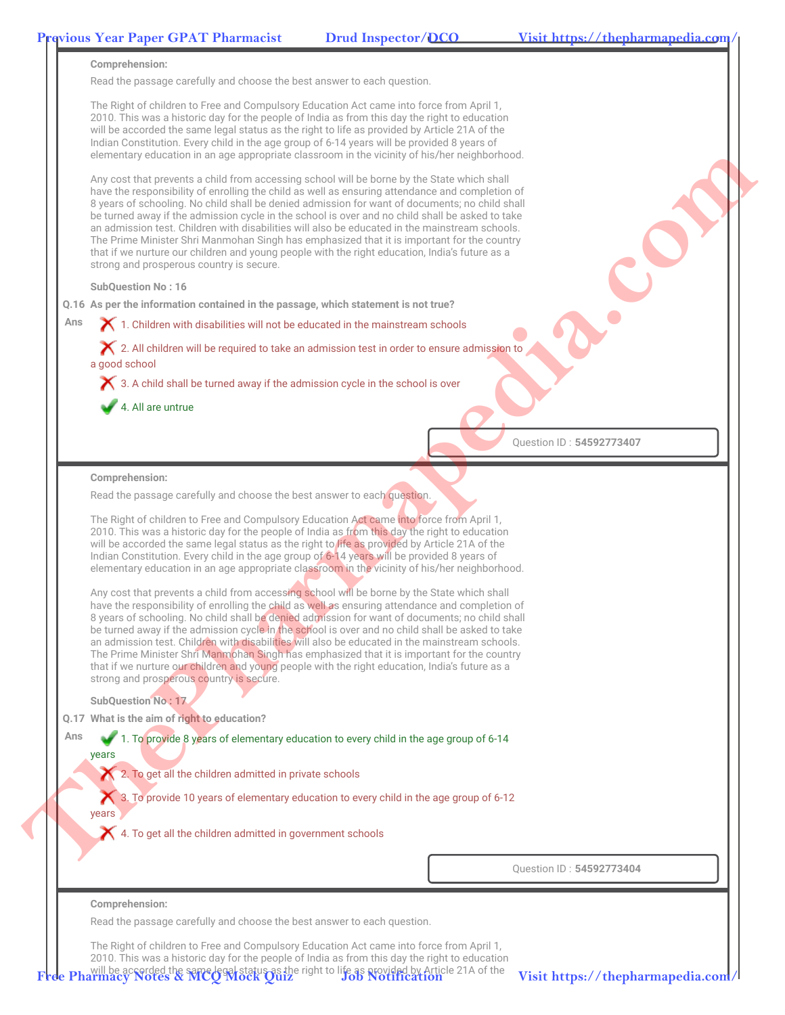

The Right of children to Free and Compulsory Education Act came into force from April 1, 2010. This was a historic day for the people of India as from this day the right to education Pharmacy Notes & MCC Mock Ouiz as the right to life as provided by Article 21A of the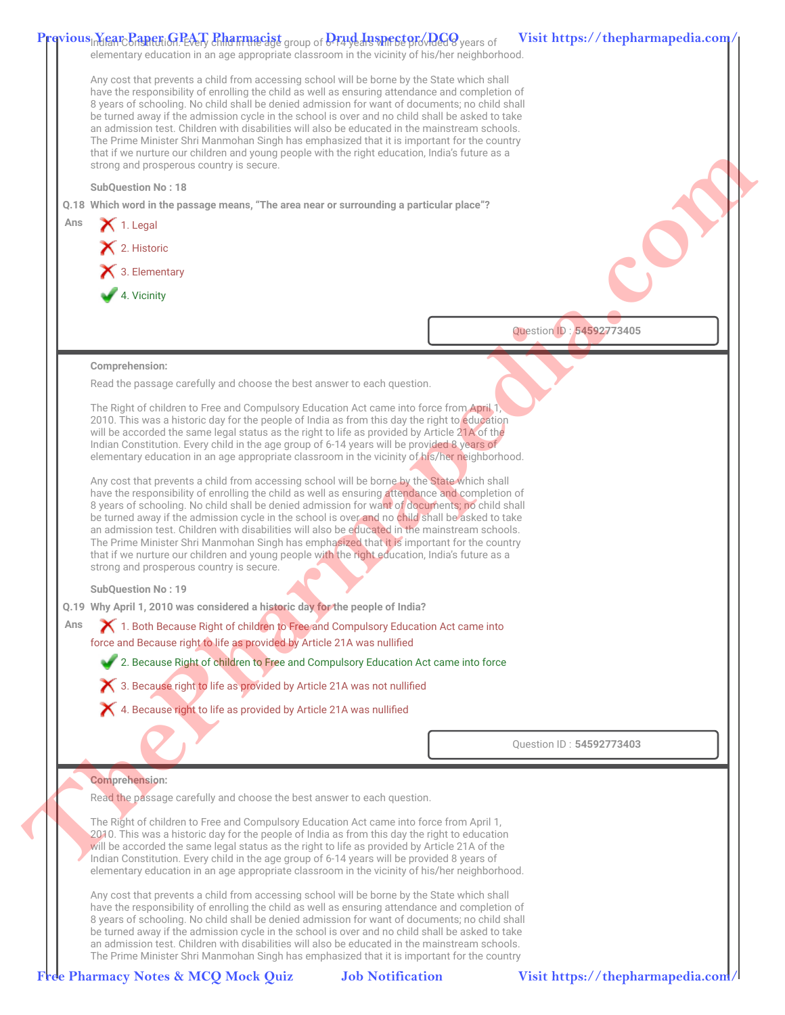|     | Previous Rear Paper: GPAT Pharmacist group of Drud Inspector Red 9 years of<br>elementary education in an age appropriate classroom in the vicinity of his/her neighborhood.                                                                                                                                                                                                                                                                                                                                                                                                                                                                                                                                                                      | Visit https://thepharmapedia.com/ |
|-----|---------------------------------------------------------------------------------------------------------------------------------------------------------------------------------------------------------------------------------------------------------------------------------------------------------------------------------------------------------------------------------------------------------------------------------------------------------------------------------------------------------------------------------------------------------------------------------------------------------------------------------------------------------------------------------------------------------------------------------------------------|-----------------------------------|
|     | Any cost that prevents a child from accessing school will be borne by the State which shall<br>have the responsibility of enrolling the child as well as ensuring attendance and completion of<br>8 years of schooling. No child shall be denied admission for want of documents; no child shall<br>be turned away if the admission cycle in the school is over and no child shall be asked to take<br>an admission test. Children with disabilities will also be educated in the mainstream schools.<br>The Prime Minister Shri Manmohan Singh has emphasized that it is important for the country<br>that if we nurture our children and young people with the right education, India's future as a<br>strong and prosperous country is secure. |                                   |
|     | <b>SubQuestion No: 18</b>                                                                                                                                                                                                                                                                                                                                                                                                                                                                                                                                                                                                                                                                                                                         |                                   |
|     | Q.18 Which word in the passage means, "The area near or surrounding a particular place"?                                                                                                                                                                                                                                                                                                                                                                                                                                                                                                                                                                                                                                                          |                                   |
| Ans | $\bigtimes$ 1. Legal                                                                                                                                                                                                                                                                                                                                                                                                                                                                                                                                                                                                                                                                                                                              |                                   |
|     | X 2. Historic                                                                                                                                                                                                                                                                                                                                                                                                                                                                                                                                                                                                                                                                                                                                     |                                   |
|     | 3. Elementary                                                                                                                                                                                                                                                                                                                                                                                                                                                                                                                                                                                                                                                                                                                                     |                                   |
|     | 4. Vicinity                                                                                                                                                                                                                                                                                                                                                                                                                                                                                                                                                                                                                                                                                                                                       |                                   |
|     |                                                                                                                                                                                                                                                                                                                                                                                                                                                                                                                                                                                                                                                                                                                                                   |                                   |
|     |                                                                                                                                                                                                                                                                                                                                                                                                                                                                                                                                                                                                                                                                                                                                                   | Question ID: 54592773405          |
|     | Comprehension:                                                                                                                                                                                                                                                                                                                                                                                                                                                                                                                                                                                                                                                                                                                                    |                                   |
|     | Read the passage carefully and choose the best answer to each question.                                                                                                                                                                                                                                                                                                                                                                                                                                                                                                                                                                                                                                                                           |                                   |
|     | The Right of children to Free and Compulsory Education Act came into force from April 1,<br>2010. This was a historic day for the people of India as from this day the right to education<br>will be accorded the same legal status as the right to life as provided by Article 21A of the<br>Indian Constitution. Every child in the age group of 6-14 years will be provided 8 years of<br>elementary education in an age appropriate classroom in the vicinity of his/her neighborhood.                                                                                                                                                                                                                                                        |                                   |
|     | Any cost that prevents a child from accessing school will be borne by the State which shall<br>have the responsibility of enrolling the child as well as ensuring attendance and completion of<br>8 years of schooling. No child shall be denied admission for want of documents; no child shall<br>be turned away if the admission cycle in the school is over and no child shall be asked to take<br>an admission test. Children with disabilities will also be educated in the mainstream schools.<br>The Prime Minister Shri Manmohan Singh has emphasized that it is important for the country<br>that if we nurture our children and young people with the right education, India's future as a<br>strong and prosperous country is secure. |                                   |
|     | <b>SubQuestion No: 19</b>                                                                                                                                                                                                                                                                                                                                                                                                                                                                                                                                                                                                                                                                                                                         |                                   |
|     | Q.19 Why April 1, 2010 was considered a historic day for the people of India?                                                                                                                                                                                                                                                                                                                                                                                                                                                                                                                                                                                                                                                                     |                                   |
| Ans | 1. Both Because Right of children to Free and Compulsory Education Act came into<br>force and Because right to life as provided by Article 21A was nullified                                                                                                                                                                                                                                                                                                                                                                                                                                                                                                                                                                                      |                                   |
|     | 2. Because Right of children to Free and Compulsory Education Act came into force                                                                                                                                                                                                                                                                                                                                                                                                                                                                                                                                                                                                                                                                 |                                   |
|     | X 3. Because right to life as provided by Article 21A was not nullified                                                                                                                                                                                                                                                                                                                                                                                                                                                                                                                                                                                                                                                                           |                                   |
|     | X 4. Because right to life as provided by Article 21A was nullified                                                                                                                                                                                                                                                                                                                                                                                                                                                                                                                                                                                                                                                                               |                                   |
|     |                                                                                                                                                                                                                                                                                                                                                                                                                                                                                                                                                                                                                                                                                                                                                   |                                   |
|     |                                                                                                                                                                                                                                                                                                                                                                                                                                                                                                                                                                                                                                                                                                                                                   | Question ID: 54592773403          |
|     | <b>Comprehension:</b>                                                                                                                                                                                                                                                                                                                                                                                                                                                                                                                                                                                                                                                                                                                             |                                   |
|     | Read the passage carefully and choose the best answer to each question.                                                                                                                                                                                                                                                                                                                                                                                                                                                                                                                                                                                                                                                                           |                                   |
|     | The Right of children to Free and Compulsory Education Act came into force from April 1,<br>2010. This was a historic day for the people of India as from this day the right to education<br>will be accorded the same legal status as the right to life as provided by Article 21A of the<br>Indian Constitution. Every child in the age group of 6-14 years will be provided 8 years of<br>elementary education in an age appropriate classroom in the vicinity of his/her neighborhood.                                                                                                                                                                                                                                                        |                                   |
|     | Any cost that prevents a child from accessing school will be borne by the State which shall<br>have the responsibility of enrolling the child as well as ensuring attendance and completion of<br>8 years of schooling. No child shall be denied admission for want of documents; no child shall<br>be turned away if the admission cycle in the school is over and no child shall be asked to take<br>an admission test. Children with disabilities will also be educated in the mainstream schools.<br>The Prime Minister Shri Manmohan Singh has emphasized that it is important for the country                                                                                                                                               |                                   |
|     |                                                                                                                                                                                                                                                                                                                                                                                                                                                                                                                                                                                                                                                                                                                                                   |                                   |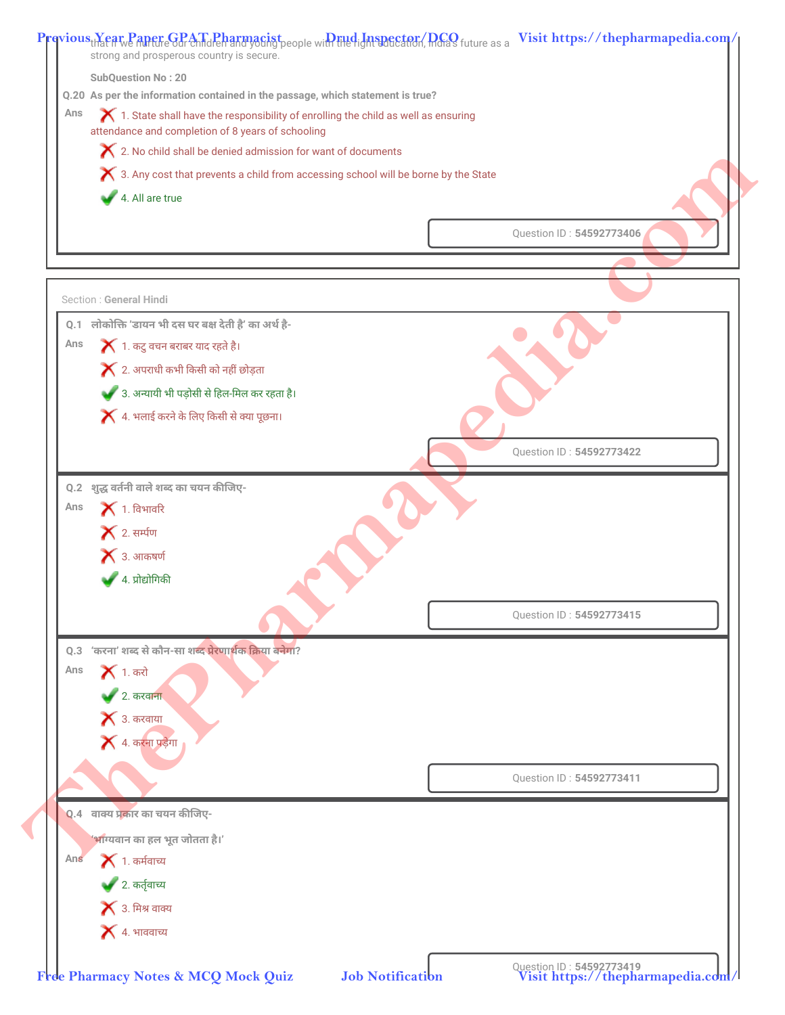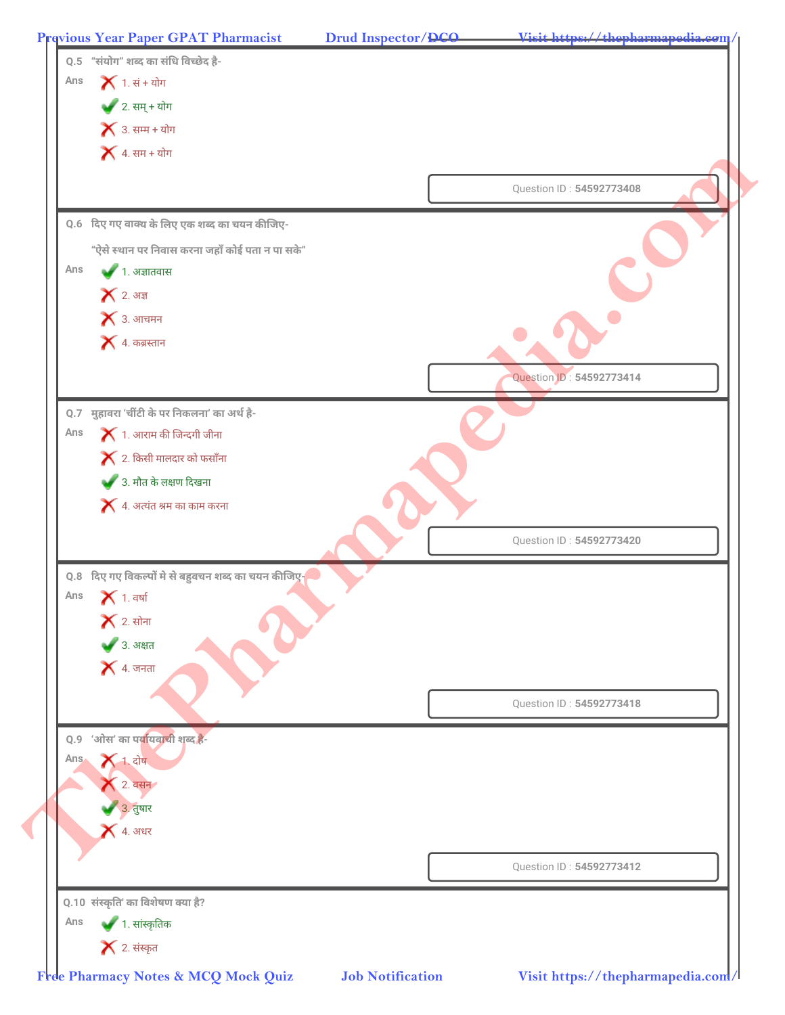**Previous Year Paper GPAT Pharmacist Drud Inspector/DCO Visit https://thepharmapedia.com/**

| $\blacktriangleright$ 3. सम्म + योग                            |                          |
|----------------------------------------------------------------|--------------------------|
| $\blacktriangleright$ 4. सम + योग                              |                          |
|                                                                | Question ID: 54592773408 |
| 0.6 दिए गए वाक्य के लिए एक शब्द का चयन कीजिए-                  |                          |
| "ऐसे स्थान पर निवास करना जहाँ कोई पता न पा सके"                |                          |
| Ans<br>$\blacktriangleright$ 1. अज्ञातवास                      |                          |
| $\blacktriangleright$ 2. अज्ञ<br>$\blacktriangleright$ 3. आचमन |                          |
| $\blacktriangleright$ 4. कब्रस्तान                             |                          |
|                                                                |                          |
|                                                                | Question ID: 54592773414 |
| Q.7 मुहावरा 'चींटी के पर निकलना' का अर्थ है-                   |                          |
| $\blacktriangleright$ 1. आराम की जिन्दगी जीना<br>Ans           |                          |
| $\blacktriangleright$ 2. किसी मालदार को फसाँना                 |                          |
| 3. मौत के लक्षण दिखना                                          |                          |
| $\blacktriangleright$ 4. अत्यंत श्रम का काम करना               |                          |
|                                                                | Question ID: 54592773420 |
| 0.8 दिए गए विकल्पों मे से बहुवचन शब्द का चयन कीजिए-            |                          |
| Ans<br>$\blacktriangleright$ 1. वर्षा                          |                          |
| $\blacktriangleright$ 2. सोना                                  |                          |
| ◆ 3. अक्षत                                                     |                          |
| $\blacktriangleright$ 4. जनता                                  |                          |
|                                                                | Question ID: 54592773418 |
| 0.9 'ओस' का पर्यायवाची शब्द है-                                |                          |
| $X$ 1. दोष<br>Ans.                                             |                          |
| $\bigwedge$ 2. वसन                                             |                          |
| 3. तुषार                                                       |                          |
| $\blacktriangle$ 4. अधर                                        |                          |
|                                                                |                          |
|                                                                | Question ID: 54592773412 |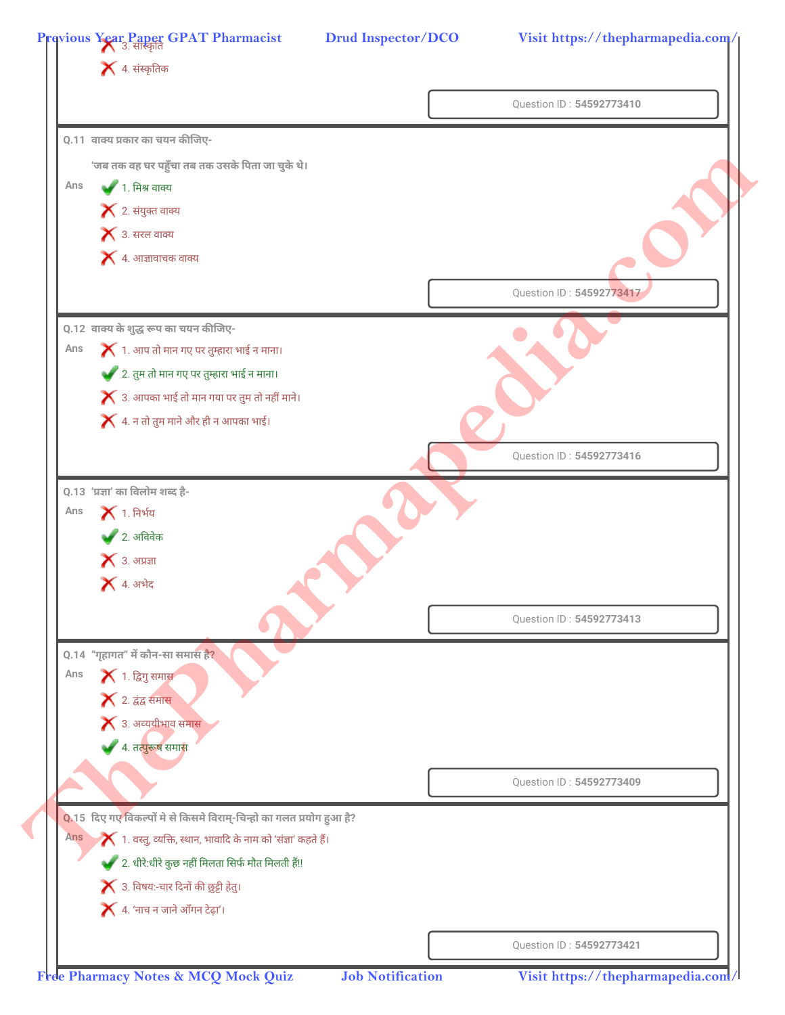|                                                                                            | Question ID: 54592773410 |
|--------------------------------------------------------------------------------------------|--------------------------|
| <b>Q.11</b> वाक्य प्रकार का चयन कीजिए-                                                     |                          |
| 'जब तक वह घर पहुँचा तब तक उसके पिता जा चुके थे।                                            |                          |
| ● 1. मिश्र वाक्य<br>Ans                                                                    |                          |
| $\blacktriangleright$ 2. संयुक्त वाक्य                                                     |                          |
| $\blacktriangleright$ 3. सरल वाक्य                                                         |                          |
| $\blacktriangleright$ 4. आज्ञावाचक वाक्य                                                   |                          |
|                                                                                            |                          |
|                                                                                            | Question ID: 54592773417 |
| 0.12 वाक्य के शुद्ध रूप का चयन कीजिए-                                                      |                          |
| $\blacktriangleright$ 1. आप तो मान गए पर तुम्हारा भाई न माना।<br>Ans                       |                          |
| 2. तुम तो मान गए पर तुम्हारा भाई न माना।                                                   |                          |
| $\blacktriangleright$ 3. आपका भाई तो मान गया पर तुम तो नहीं माने।                          |                          |
| $\blacktriangleright$ 4. न तो तुम माने और ही न आपका भाई।                                   |                          |
|                                                                                            | Question ID: 54592773416 |
| Q.13 'प्रज्ञा' का विलोम शब्द है-                                                           |                          |
| $\blacktriangleright$ 1. निर्भय<br>Ans                                                     |                          |
| $\bullet$ 2. अविवेक                                                                        |                          |
| $\blacktriangleright$ 3. अप्रज्ञा                                                          |                          |
| $\blacktriangleright$ 4. अभेद                                                              |                          |
|                                                                                            | Question ID: 54592773413 |
|                                                                                            |                          |
| Q.14 "गृहागत" में कौन-सा समास है?                                                          |                          |
| <b>X</b> 1. द्विगु समास<br>Ans                                                             |                          |
| <b>X</b> 2. द्वंद्व समास                                                                   |                          |
| $\blacktriangleright$ 3. अव्ययीभाव समास<br>4. तत्पुरूष समास                                |                          |
|                                                                                            |                          |
|                                                                                            | Question ID: 54592773409 |
| 0.15 दिए गए विकल्पों मे से किसमे विराम्-चिन्हो का गलत प्रयोग हुआ है?                       |                          |
| $\blacktriangleright$ 1. वस्तु, व्यक्ति, स्थान, भावादि के नाम को 'संज्ञा' कहते हैं।<br>Ans |                          |
| 2. धीरे:धीरे कुछ नहीं मिलता सिर्फ मौत मिलती हैं!!                                          |                          |
| $\blacktriangleright$ 3. विषय:-चार दिनों की छुट्टी हेतु।                                   |                          |
|                                                                                            |                          |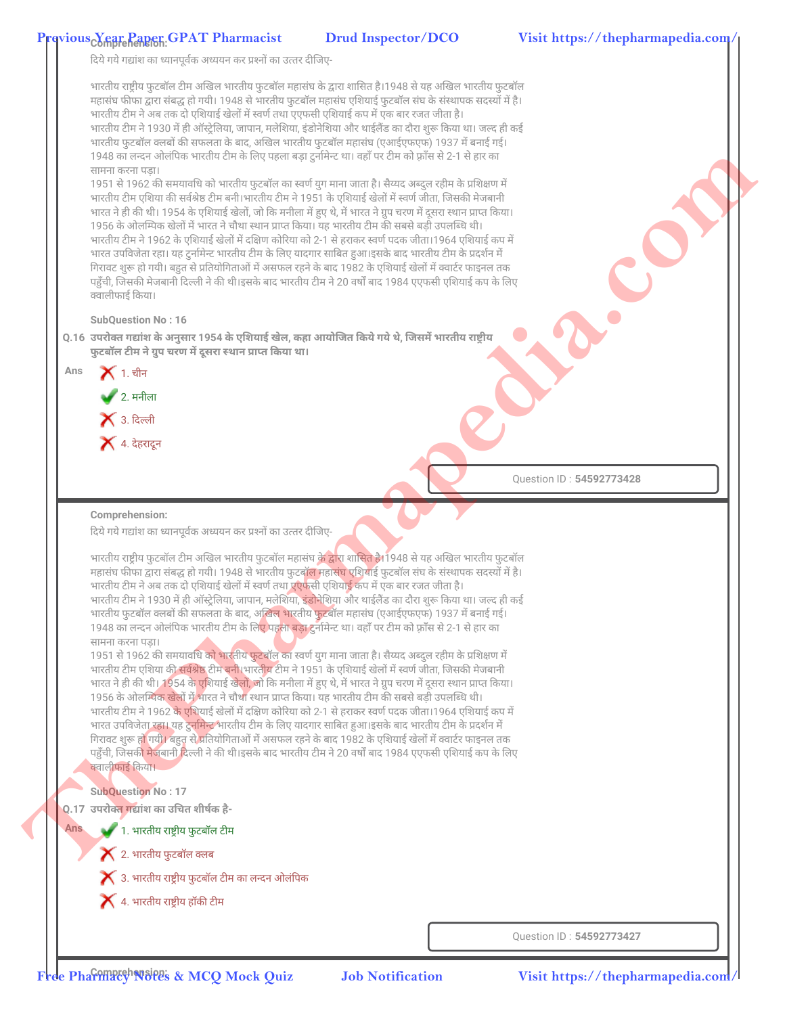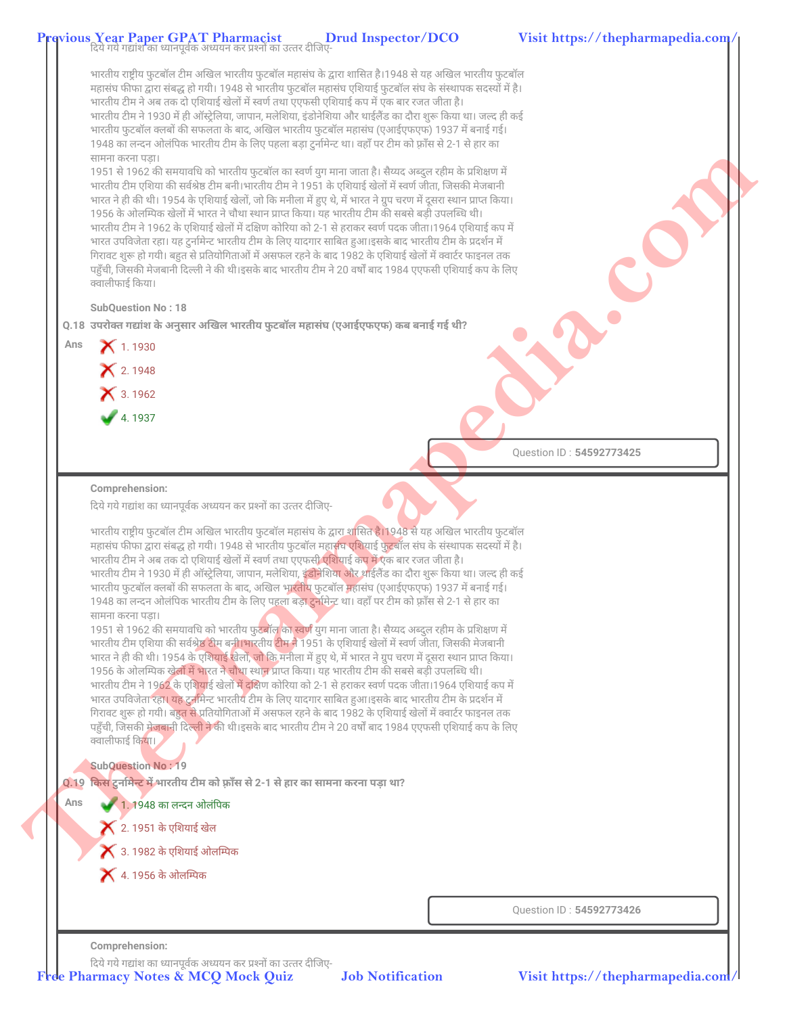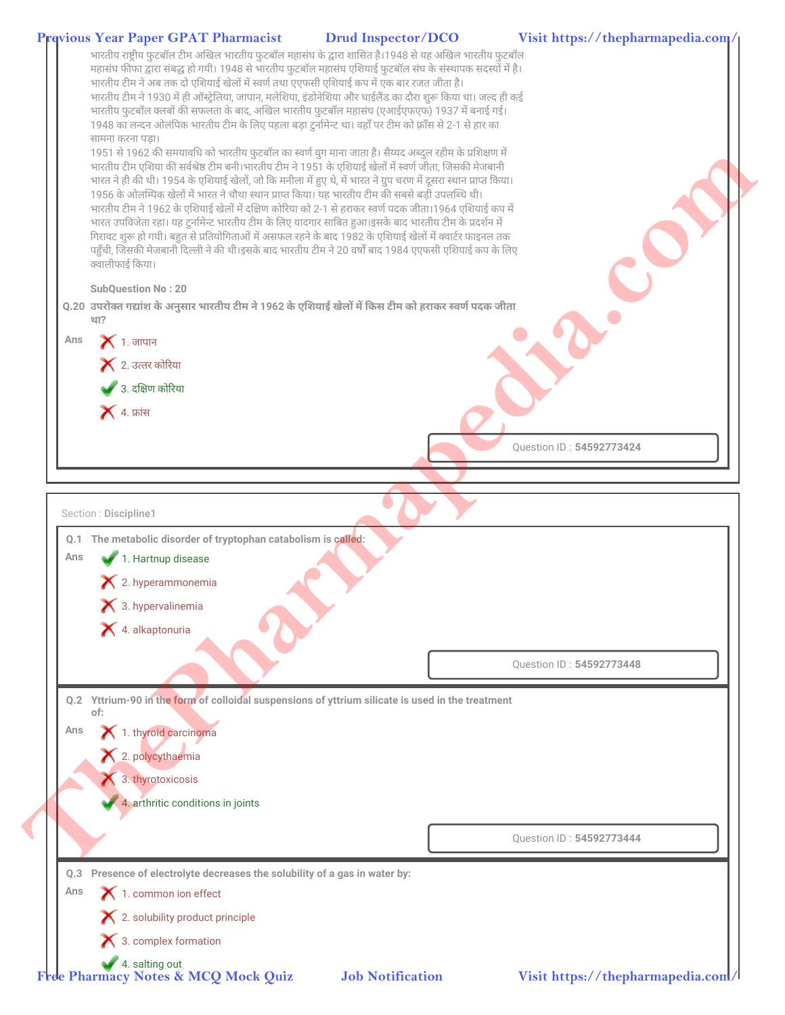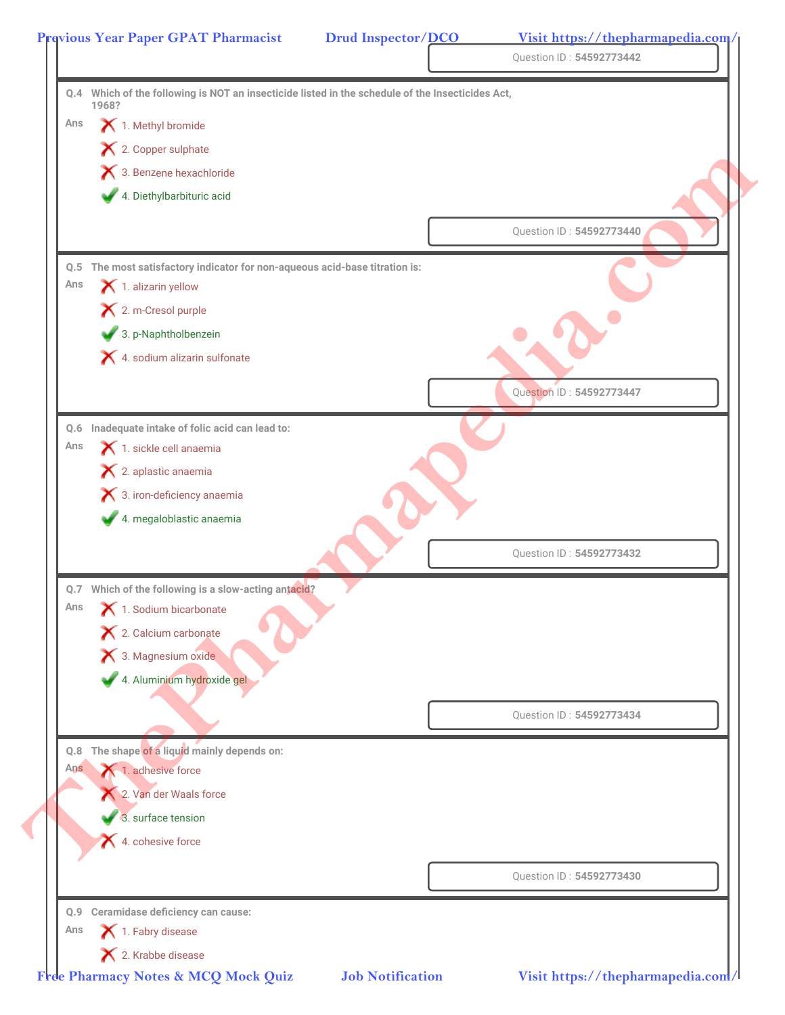|            |                                                                                                  | Drud Inspector/DCO | Visit https://thepharmapedia.com/<br>Question ID: 54592773442 |
|------------|--------------------------------------------------------------------------------------------------|--------------------|---------------------------------------------------------------|
|            | Q.4 Which of the following is NOT an insecticide listed in the schedule of the Insecticides Act, |                    |                                                               |
| Ans        | 1968?                                                                                            |                    |                                                               |
|            | 1. Methyl bromide                                                                                |                    |                                                               |
|            | X 2. Copper sulphate                                                                             |                    |                                                               |
|            | 3. Benzene hexachloride                                                                          |                    |                                                               |
|            | 4. Diethylbarbituric acid                                                                        |                    |                                                               |
|            |                                                                                                  |                    | Question ID: 54592773440                                      |
|            | Q.5 The most satisfactory indicator for non-aqueous acid-base titration is:                      |                    |                                                               |
| Ans        | 1. alizarin yellow                                                                               |                    |                                                               |
|            | X 2. m-Cresol purple                                                                             |                    |                                                               |
|            | 3. p-Naphtholbenzein                                                                             |                    |                                                               |
|            | X 4. sodium alizarin sulfonate                                                                   |                    |                                                               |
|            |                                                                                                  |                    | Question ID: 54592773447                                      |
|            | Q.6 Inadequate intake of folic acid can lead to:                                                 |                    |                                                               |
| Ans        | 1. sickle cell anaemia                                                                           |                    |                                                               |
|            | X 2. aplastic anaemia                                                                            |                    |                                                               |
|            | <b>X</b> 3. iron-deficiency anaemia                                                              |                    |                                                               |
|            | 4. megaloblastic anaemia                                                                         |                    |                                                               |
|            |                                                                                                  |                    | Question ID: 54592773432                                      |
|            | Q.7 Which of the following is a slow-acting antacid?                                             |                    |                                                               |
| Ans        | 1. Sodium bicarbonate                                                                            |                    |                                                               |
|            | X 2. Calcium carbonate                                                                           |                    |                                                               |
|            | 3. Magnesium oxide                                                                               |                    |                                                               |
|            | 4. Aluminium hydroxide gel                                                                       |                    |                                                               |
|            |                                                                                                  |                    | Question ID: 54592773434                                      |
|            |                                                                                                  |                    |                                                               |
| Q.8<br>Ans | The shape of a liquid mainly depends on:<br>1. adhesive force                                    |                    |                                                               |
|            | 2. Van der Waals force                                                                           |                    |                                                               |
|            | 3. surface tension                                                                               |                    |                                                               |
|            | 4. cohesive force                                                                                |                    |                                                               |
|            |                                                                                                  |                    |                                                               |
|            |                                                                                                  |                    | Question ID: 54592773430                                      |
|            | Q.9 Ceramidase deficiency can cause:                                                             |                    |                                                               |
|            |                                                                                                  |                    |                                                               |
| Ans        | 1. Fabry disease                                                                                 |                    |                                                               |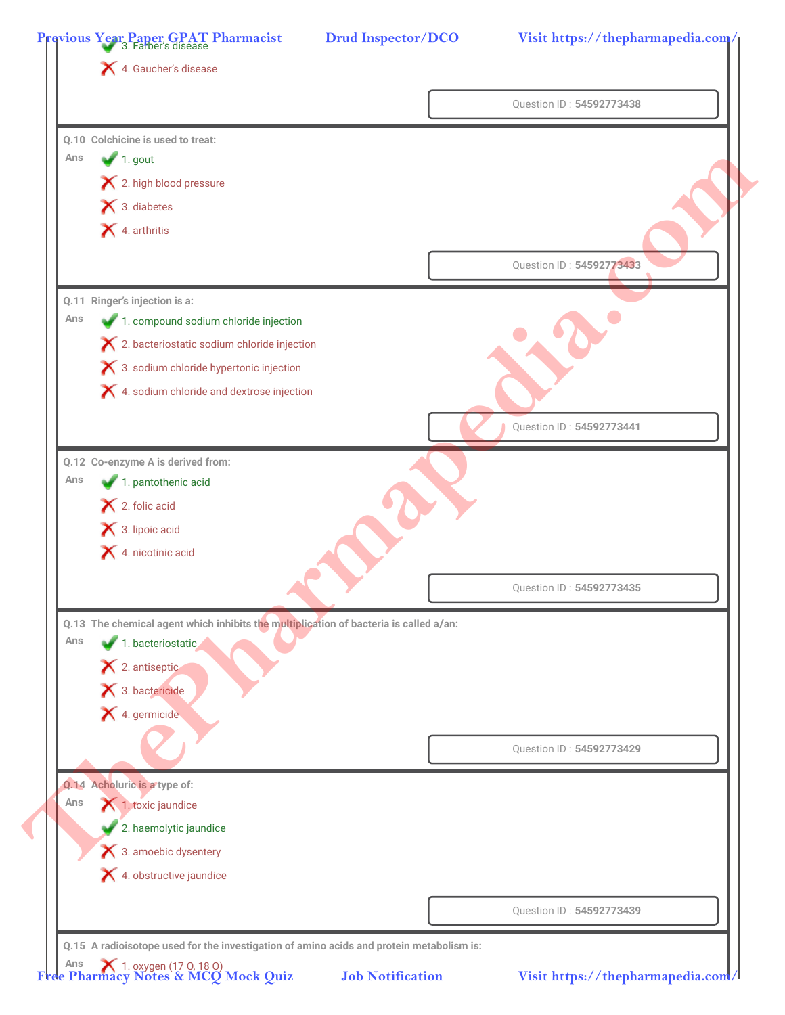|     |                                                                                                            | Question ID: 54592773438 |
|-----|------------------------------------------------------------------------------------------------------------|--------------------------|
|     | Q.10 Colchicine is used to treat:                                                                          |                          |
| Ans | $\blacksquare$ 1. gout                                                                                     |                          |
|     | X 2. high blood pressure                                                                                   |                          |
|     | 1 3. diabetes                                                                                              |                          |
|     | X 4. arthritis                                                                                             |                          |
|     |                                                                                                            | Question ID: 54592773433 |
|     |                                                                                                            |                          |
| Ans | Q.11 Ringer's injection is a:                                                                              |                          |
|     | 1. compound sodium chloride injection                                                                      |                          |
|     | X 2. bacteriostatic sodium chloride injection                                                              |                          |
|     | <b>★</b> 3. sodium chloride hypertonic injection<br>X 4. sodium chloride and dextrose injection            |                          |
|     |                                                                                                            |                          |
|     |                                                                                                            | Question ID: 54592773441 |
|     | Q.12 Co-enzyme A is derived from:                                                                          |                          |
| Ans | 1. pantothenic acid                                                                                        |                          |
|     | $\blacktriangleright$ 2. folic acid                                                                        |                          |
|     | 13. lipoic acid                                                                                            |                          |
|     | 4. nicotinic acid                                                                                          |                          |
|     |                                                                                                            | Question ID: 54592773435 |
|     |                                                                                                            |                          |
| Ans | Q.13 The chemical agent which inhibits the multiplication of bacteria is called a/an:<br>1. bacteriostatic |                          |
|     | 2. antiseptic                                                                                              |                          |
|     | $\blacktriangleright$ 3. bactericide                                                                       |                          |
|     | 1. germicide                                                                                               |                          |
|     |                                                                                                            |                          |
|     |                                                                                                            | Question ID: 54592773429 |
|     | Q.14 Acholuric is a type of:                                                                               |                          |
| Ans | 1. toxic jaundice                                                                                          |                          |
|     | 2. haemolytic jaundice                                                                                     |                          |
|     | 3. amoebic dysentery                                                                                       |                          |
|     | X 4. obstructive jaundice                                                                                  |                          |
|     |                                                                                                            | Question ID: 54592773439 |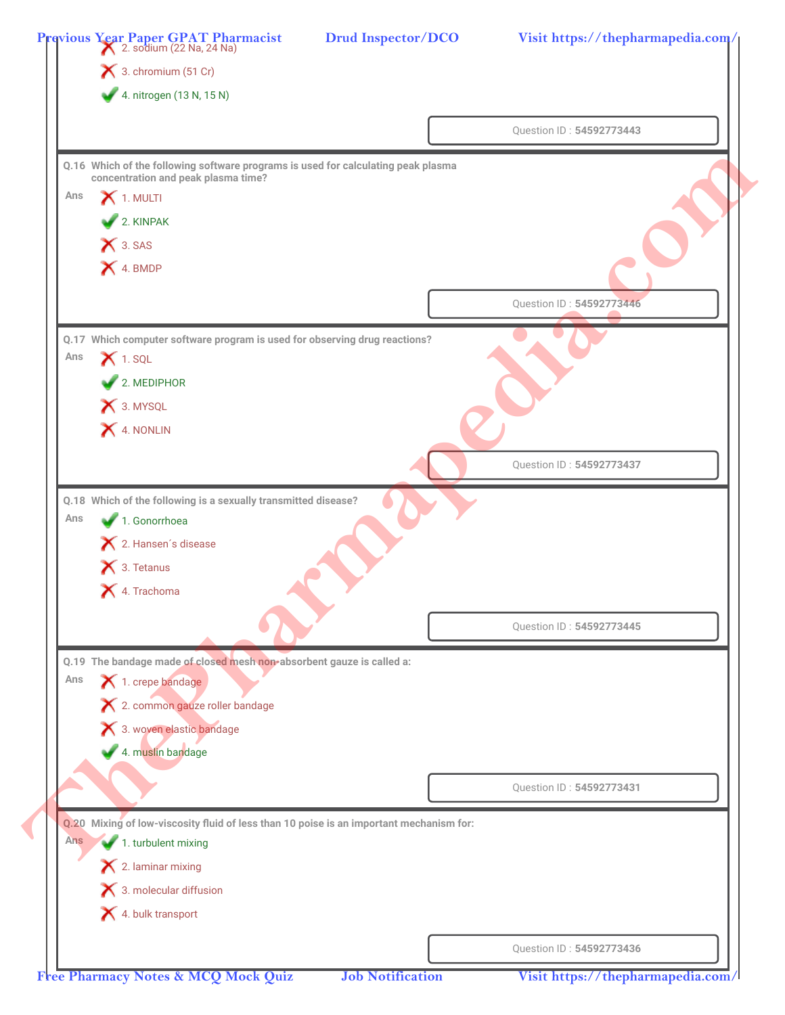|     | Previous Year Paper GPAT Pharmacist<br>2. sodium (22 Na, 24 Na)                           | <b>Drud Inspector/DCO</b> | Visit https://thepharmapedia.com/ |
|-----|-------------------------------------------------------------------------------------------|---------------------------|-----------------------------------|
|     | $\blacktriangleright$ 3. chromium (51 Cr)                                                 |                           |                                   |
|     | 4. nitrogen (13 N, 15 N)                                                                  |                           |                                   |
|     |                                                                                           |                           | Question ID: 54592773443          |
|     | Q.16 Which of the following software programs is used for calculating peak plasma         |                           |                                   |
| Ans | concentration and peak plasma time?                                                       |                           |                                   |
|     | $\boldsymbol{\times}$ 1. MULTI                                                            |                           |                                   |
|     | 2. KINPAK                                                                                 |                           |                                   |
|     | X 3. SAS                                                                                  |                           |                                   |
|     | X 4. BMDP                                                                                 |                           |                                   |
|     |                                                                                           |                           | Question ID: 54592773446          |
|     | Q.17 Which computer software program is used for observing drug reactions?                |                           |                                   |
| Ans | $\blacktriangleright$ 1. SQL                                                              |                           |                                   |
|     | $2.$ MEDIPHOR                                                                             |                           |                                   |
|     | X 3. MYSQL                                                                                |                           |                                   |
|     | X 4. NONLIN                                                                               |                           |                                   |
|     |                                                                                           |                           |                                   |
|     |                                                                                           |                           | Question ID: 54592773437          |
|     | Q.18 Which of the following is a sexually transmitted disease?                            |                           |                                   |
| Ans | 1. Gonorrhoea                                                                             |                           |                                   |
|     | X 2. Hansen's disease                                                                     |                           |                                   |
|     | X 3. Tetanus                                                                              |                           |                                   |
|     | X 4. Trachoma                                                                             |                           |                                   |
|     |                                                                                           |                           | Question ID: 54592773445          |
|     |                                                                                           |                           |                                   |
| Ans | Q.19 The bandage made of closed mesh non-absorbent gauze is called a:<br>1. crepe bandage |                           |                                   |
|     | X 2. common gauze roller bandage                                                          |                           |                                   |
|     | X 3. woven elastic bandage                                                                |                           |                                   |
|     | 4. muslin bandage                                                                         |                           |                                   |
|     |                                                                                           |                           |                                   |
|     |                                                                                           |                           | Question ID: 54592773431          |
|     | Q.20 Mixing of low-viscosity fluid of less than 10 poise is an important mechanism for:   |                           |                                   |
| Ans | 1. turbulent mixing                                                                       |                           |                                   |
|     | $\blacktriangleright$ 2. laminar mixing                                                   |                           |                                   |
|     | $\blacktriangleright$ 3. molecular diffusion                                              |                           |                                   |
|     | 4. bulk transport                                                                         |                           |                                   |
|     |                                                                                           |                           |                                   |
|     |                                                                                           |                           | Question ID: 54592773436          |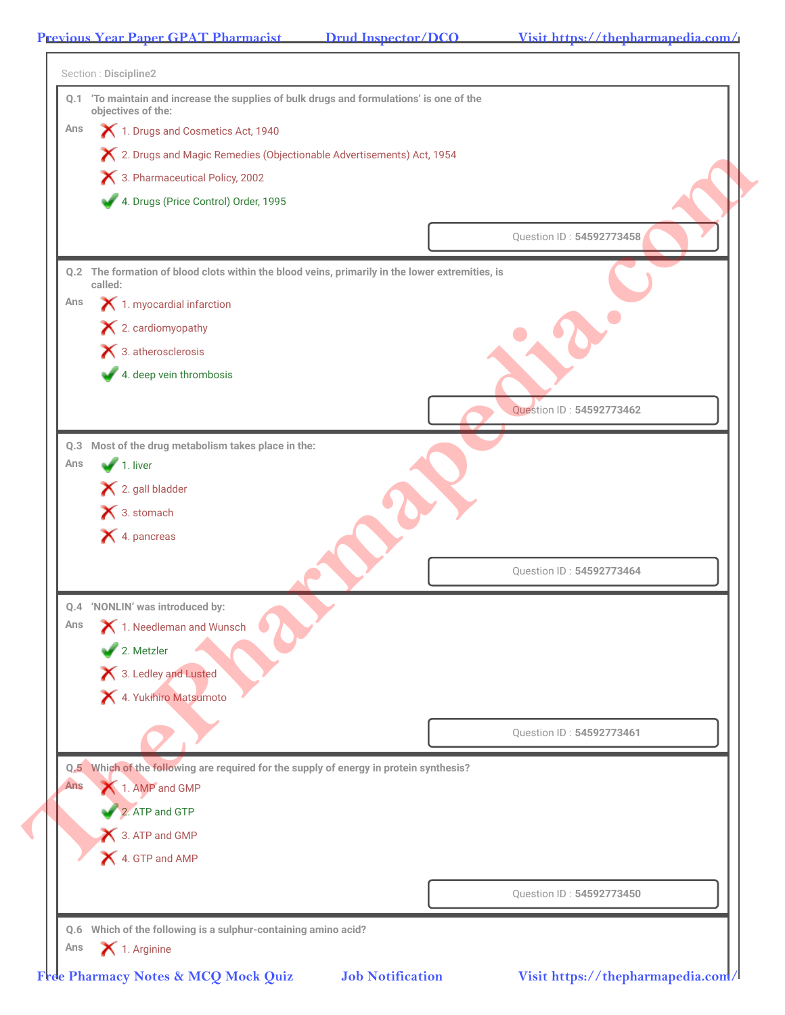Ï

| Ans        | objectives of the:<br>1. Drugs and Cosmetics Act, 1940                                                     |                          |
|------------|------------------------------------------------------------------------------------------------------------|--------------------------|
|            | X 2. Drugs and Magic Remedies (Objectionable Advertisements) Act, 1954                                     |                          |
|            | 3. Pharmaceutical Policy, 2002                                                                             |                          |
|            | 4. Drugs (Price Control) Order, 1995                                                                       |                          |
|            |                                                                                                            | Question ID: 54592773458 |
|            |                                                                                                            |                          |
|            | Q.2 The formation of blood clots within the blood veins, primarily in the lower extremities, is<br>called: |                          |
| Ans        | 1. myocardial infarction                                                                                   |                          |
|            | $\blacktriangleright$ 2. cardiomyopathy                                                                    |                          |
|            | $\blacktriangleright$ 3. atherosclerosis                                                                   |                          |
|            | 4. deep vein thrombosis                                                                                    |                          |
|            |                                                                                                            | Question ID: 54592773462 |
|            |                                                                                                            |                          |
|            | Q.3 Most of the drug metabolism takes place in the:                                                        |                          |
| Ans        | $\sqrt{1}$ . liver                                                                                         |                          |
|            | X 2. gall bladder                                                                                          |                          |
|            | $\blacktriangleright$ 3. stomach<br>X 4. pancreas                                                          |                          |
|            |                                                                                                            |                          |
|            |                                                                                                            | Question ID: 54592773464 |
|            | Q.4 'NONLIN' was introduced by:                                                                            |                          |
| Ans        | 1. Needleman and Wunsch                                                                                    |                          |
|            | 2. Metzler                                                                                                 |                          |
|            | X 3. Ledley and Lusted                                                                                     |                          |
|            | X 4. Yukihiro Matsumoto                                                                                    |                          |
|            |                                                                                                            | Question ID: 54592773461 |
|            |                                                                                                            |                          |
| <b>Ans</b> | Q.5 Which of the following are required for the supply of energy in protein synthesis?                     |                          |
|            | 1. AMP and GMP                                                                                             |                          |
|            | 2. ATP and GTP                                                                                             |                          |
|            | 3. ATP and GMP<br>4. GTP and AMP                                                                           |                          |
|            |                                                                                                            |                          |
|            |                                                                                                            | Question ID: 54592773450 |
|            |                                                                                                            |                          |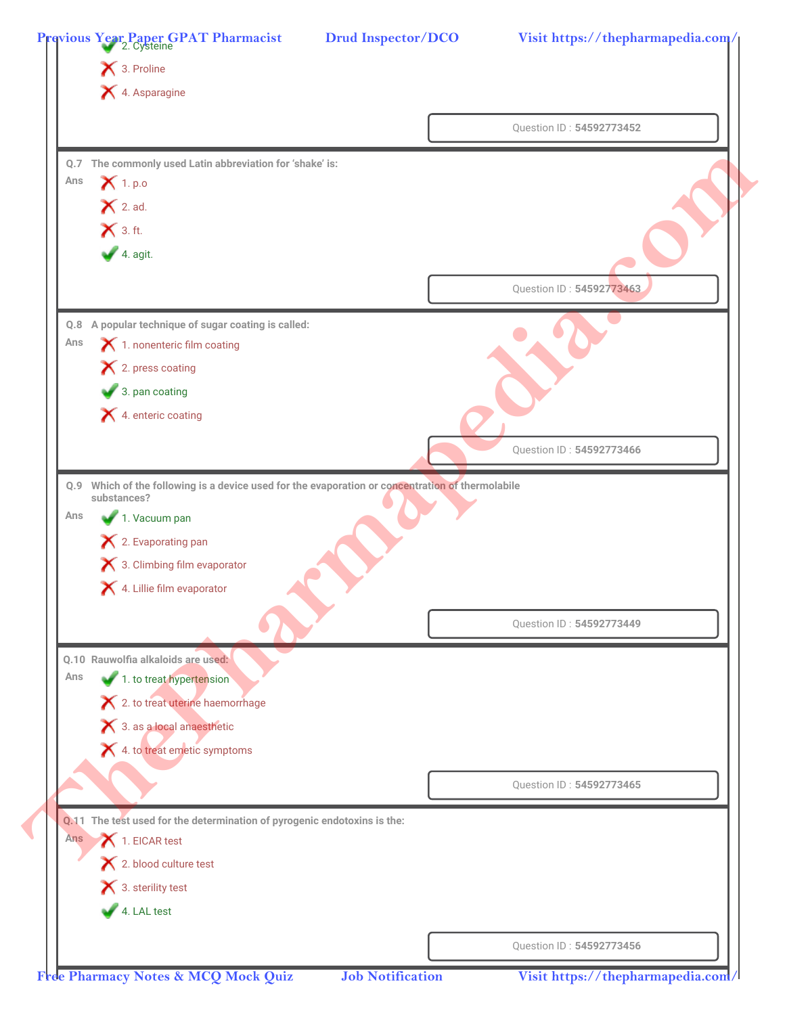|     | X 3. Proline<br>X 4. Asparagine                                          |                          |
|-----|--------------------------------------------------------------------------|--------------------------|
|     |                                                                          |                          |
|     |                                                                          | Question ID: 54592773452 |
|     | Q.7 The commonly used Latin abbreviation for 'shake' is:                 |                          |
| Ans | $\mathsf{X}$ 1. p.o                                                      |                          |
|     | $\bigtimes$ 2. ad.                                                       |                          |
|     | $\mathsf{X}$ 3. ft.                                                      |                          |
|     | $4.$ agit.                                                               |                          |
|     |                                                                          | Question ID: 54592773463 |
|     |                                                                          |                          |
| Ans | Q.8 A popular technique of sugar coating is called:                      |                          |
|     | 1. nonenteric film coating<br>X 2. press coating                         |                          |
|     | 3. pan coating                                                           |                          |
|     | 4. enteric coating                                                       |                          |
|     |                                                                          |                          |
|     |                                                                          | Question ID: 54592773466 |
| Ans | 1. Vacuum pan<br>X 2. Evaporating pan                                    |                          |
|     | 3. Climbing film evaporator                                              |                          |
|     | 4. Lillie film evaporator                                                | Question ID: 54592773449 |
|     | Q.10 Rauwolfia alkaloids are used:                                       |                          |
| Ans | 1. to treat hypertension                                                 |                          |
|     | X 2. to treat uterine haemorrhage                                        |                          |
|     | X 3. as a local anaesthetic                                              |                          |
|     | X 4. to treat emetic symptoms                                            |                          |
|     |                                                                          |                          |
|     |                                                                          | Question ID: 54592773465 |
|     | Q.11 The test used for the determination of pyrogenic endotoxins is the: |                          |
| Ans | 1. EICAR test                                                            |                          |
|     | X 2. blood culture test                                                  |                          |
|     | $\bigtimes$ 3. sterility test                                            |                          |
|     | 4. LAL test                                                              |                          |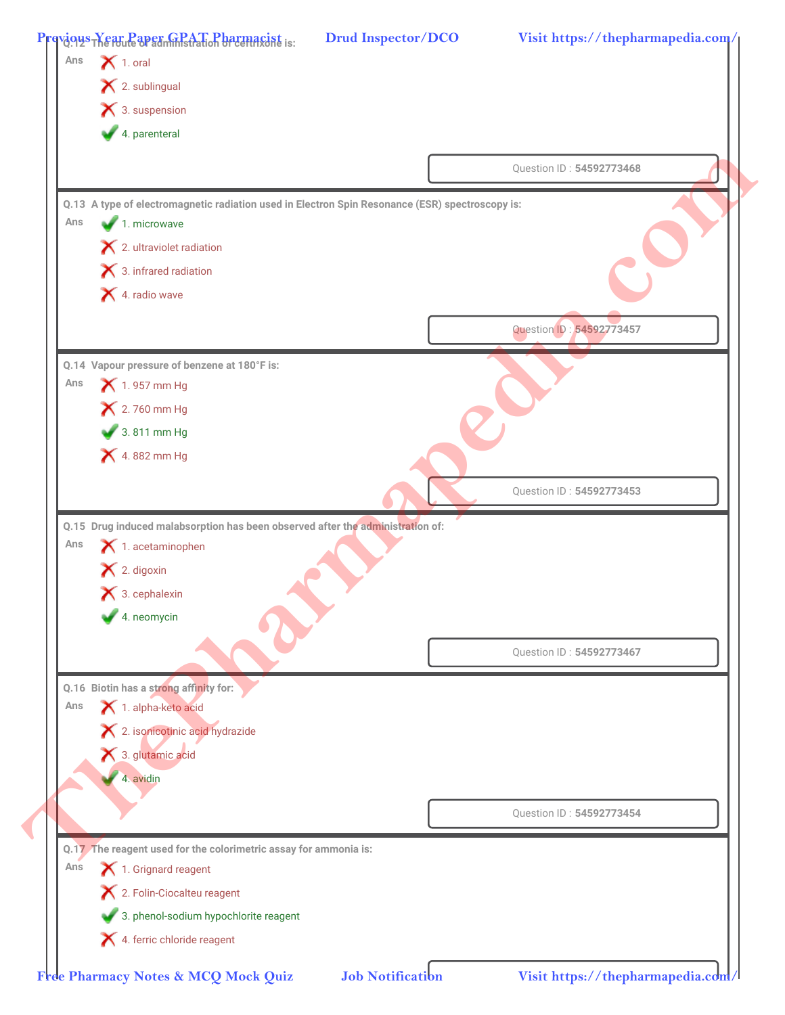|     | $\blacktriangleright$ 1. oral                                                                   |                          |  |
|-----|-------------------------------------------------------------------------------------------------|--------------------------|--|
|     | X 2. sublingual                                                                                 |                          |  |
|     | $\blacktriangleright$ 3. suspension                                                             |                          |  |
|     | 4. parenteral                                                                                   |                          |  |
|     |                                                                                                 | Question ID: 54592773468 |  |
|     | Q.13 A type of electromagnetic radiation used in Electron Spin Resonance (ESR) spectroscopy is: |                          |  |
| Ans | 1. microwave                                                                                    |                          |  |
|     | X 2. ultraviolet radiation                                                                      |                          |  |
|     | $\blacktriangleright$ 3. infrared radiation                                                     |                          |  |
|     | 4. radio wave                                                                                   |                          |  |
|     |                                                                                                 | Question ID: 54592773457 |  |
|     | Q.14 Vapour pressure of benzene at 180°F is:                                                    |                          |  |
| Ans | $\bigtimes$ 1.957 mm Hg                                                                         |                          |  |
|     | × 2.760 mm Hg                                                                                   |                          |  |
|     | 3.811 mm Hg                                                                                     |                          |  |
|     | 4.882 mm Hg                                                                                     |                          |  |
|     |                                                                                                 | Question ID: 54592773453 |  |
|     |                                                                                                 |                          |  |
|     | Q.15 Drug induced malabsorption has been observed after the administration of:                  |                          |  |
| Ans | $\blacktriangleright$ 1. acetaminophen                                                          |                          |  |
|     | $\blacktriangleright$ 2. digoxin                                                                |                          |  |
|     | $\blacktriangleright$ 3. cephalexin                                                             |                          |  |
|     | 4. neomycin                                                                                     |                          |  |
|     |                                                                                                 | Question ID: 54592773467 |  |
|     |                                                                                                 |                          |  |
| Ans | Q.16 Biotin has a strong affinity for:<br>1. alpha-keto acid                                    |                          |  |
|     | X 2. isonicotinic acid hydrazide                                                                |                          |  |
|     | 3. glutamic acid                                                                                |                          |  |
|     | 4. avidin                                                                                       |                          |  |
|     |                                                                                                 | Question ID: 54592773454 |  |
|     |                                                                                                 |                          |  |
|     | Q.17 The reagent used for the colorimetric assay for ammonia is:                                |                          |  |
| Ans | 1. Grignard reagent                                                                             |                          |  |
|     | X 2. Folin-Ciocalteu reagent<br>3. phenol-sodium hypochlorite reagent                           |                          |  |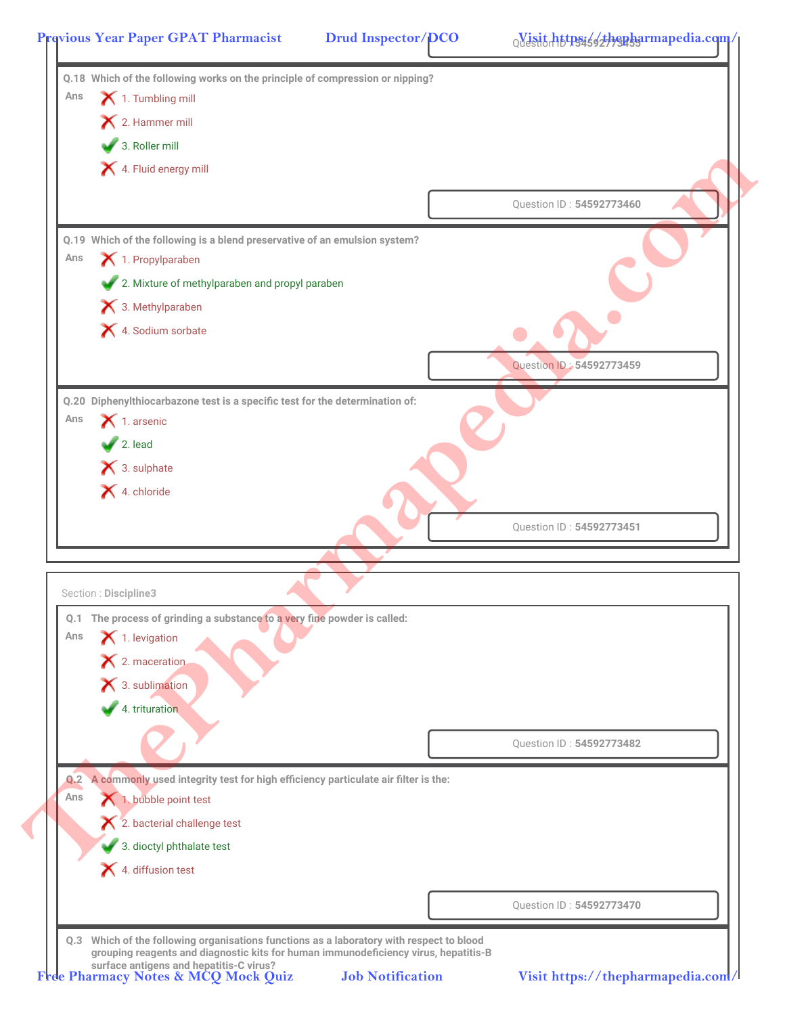|     | 12. Hammer mill                                                                   |                          |
|-----|-----------------------------------------------------------------------------------|--------------------------|
|     | 3. Roller mill                                                                    |                          |
|     | 4. Fluid energy mill                                                              |                          |
|     |                                                                                   | Question ID: 54592773460 |
|     | Q.19 Which of the following is a blend preservative of an emulsion system?        |                          |
| Ans | 1. Propylparaben                                                                  |                          |
|     | 2. Mixture of methylparaben and propyl paraben                                    |                          |
|     | 3. Methylparaben                                                                  |                          |
|     | X 4. Sodium sorbate                                                               |                          |
|     |                                                                                   | Question ID: 54592773459 |
|     | Q.20 Diphenylthiocarbazone test is a specific test for the determination of:      |                          |
| Ans | $\blacktriangleright$ 1. arsenic                                                  |                          |
|     | $\sqrt{2}$ . lead                                                                 |                          |
|     | × 3. sulphate                                                                     |                          |
|     | $\blacktriangleright$ 4. chloride                                                 |                          |
|     |                                                                                   | Question ID: 54592773451 |
|     |                                                                                   |                          |
|     |                                                                                   |                          |
|     | Section: Discipline3                                                              |                          |
|     | Q.1 The process of grinding a substance to a very fine powder is called:          |                          |
| Ans | $\blacktriangleright$ 1. levigation                                               |                          |
|     | $\bigtimes$ 2. maceration                                                         |                          |
|     | 3. sublimation                                                                    |                          |
|     | 4. trituration                                                                    |                          |
|     |                                                                                   | Question ID: 54592773482 |
| Q.2 | A commonly used integrity test for high efficiency particulate air filter is the: |                          |
| Ans | 1. bubble point test                                                              |                          |
|     | 2. bacterial challenge test                                                       |                          |
|     | 3. dioctyl phthalate test                                                         |                          |
|     | 4. diffusion test                                                                 |                          |
|     |                                                                                   |                          |
|     |                                                                                   |                          |
|     |                                                                                   | Question ID: 54592773470 |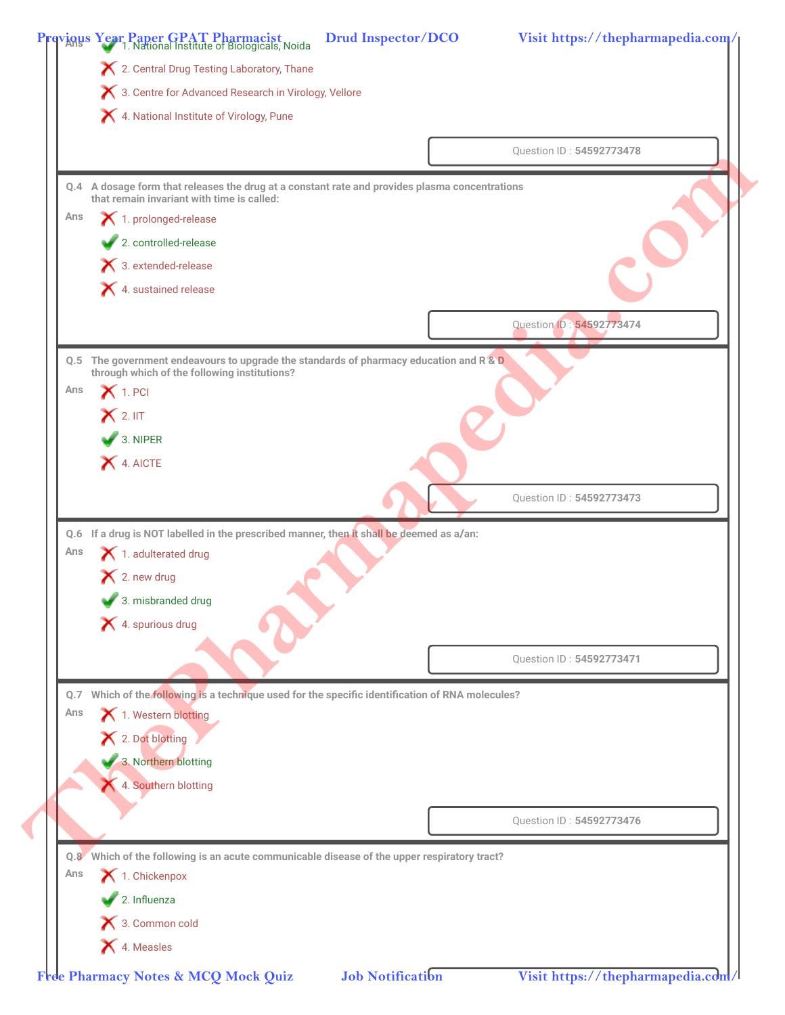|     | X 2. Central Drug Testing Laboratory, Thane                                                                                            |  |                          |
|-----|----------------------------------------------------------------------------------------------------------------------------------------|--|--------------------------|
|     | 3. Centre for Advanced Research in Virology, Vellore                                                                                   |  |                          |
|     | 4. National Institute of Virology, Pune                                                                                                |  |                          |
|     |                                                                                                                                        |  |                          |
|     |                                                                                                                                        |  | Question ID: 54592773478 |
|     | Q.4 A dosage form that releases the drug at a constant rate and provides plasma concentrations                                         |  |                          |
|     | that remain invariant with time is called:                                                                                             |  |                          |
| Ans | 1. prolonged-release                                                                                                                   |  |                          |
|     | 2. controlled-release                                                                                                                  |  |                          |
|     | $\blacktriangleright$ 3. extended-release                                                                                              |  |                          |
|     | $\blacktriangleright$ 4. sustained release                                                                                             |  |                          |
|     |                                                                                                                                        |  | Question ID: 54592773474 |
|     | Q.5 The government endeavours to upgrade the standards of pharmacy education and R & D<br>through which of the following institutions? |  |                          |
| Ans | $\mathsf{X}$ 1. PCI                                                                                                                    |  |                          |
|     | $\mathsf{X}$ 2. IIT                                                                                                                    |  |                          |
|     | $\bigvee$ 3. NIPER                                                                                                                     |  |                          |
|     | 4. AICTE                                                                                                                               |  |                          |
|     |                                                                                                                                        |  |                          |
|     |                                                                                                                                        |  | Question ID: 54592773473 |
|     | Q.6 If a drug is NOT labelled in the prescribed manner, then it shall be deemed as a/an:                                               |  |                          |
| Ans | 1. adulterated drug                                                                                                                    |  |                          |
|     |                                                                                                                                        |  |                          |
|     | $\blacktriangleright$ 2. new drug                                                                                                      |  |                          |
|     |                                                                                                                                        |  |                          |
|     | 3. misbranded drug                                                                                                                     |  |                          |
|     | X 4. spurious drug                                                                                                                     |  |                          |
|     |                                                                                                                                        |  | Question ID: 54592773471 |
|     | Q.7 Which of the following is a technique used for the specific identification of RNA molecules?                                       |  |                          |
| Ans | 1. Western blotting                                                                                                                    |  |                          |
|     | X 2. Dot blotting                                                                                                                      |  |                          |
|     |                                                                                                                                        |  |                          |
|     | 3. Northern blotting                                                                                                                   |  |                          |
|     | 4. Southern blotting                                                                                                                   |  |                          |
|     |                                                                                                                                        |  | Question ID: 54592773476 |
|     |                                                                                                                                        |  |                          |
| Ans | Q.8 Which of the following is an acute communicable disease of the upper respiratory tract?                                            |  |                          |
|     | 1. Chickenpox                                                                                                                          |  |                          |
|     | 2. Influenza<br>3. Common cold                                                                                                         |  |                          |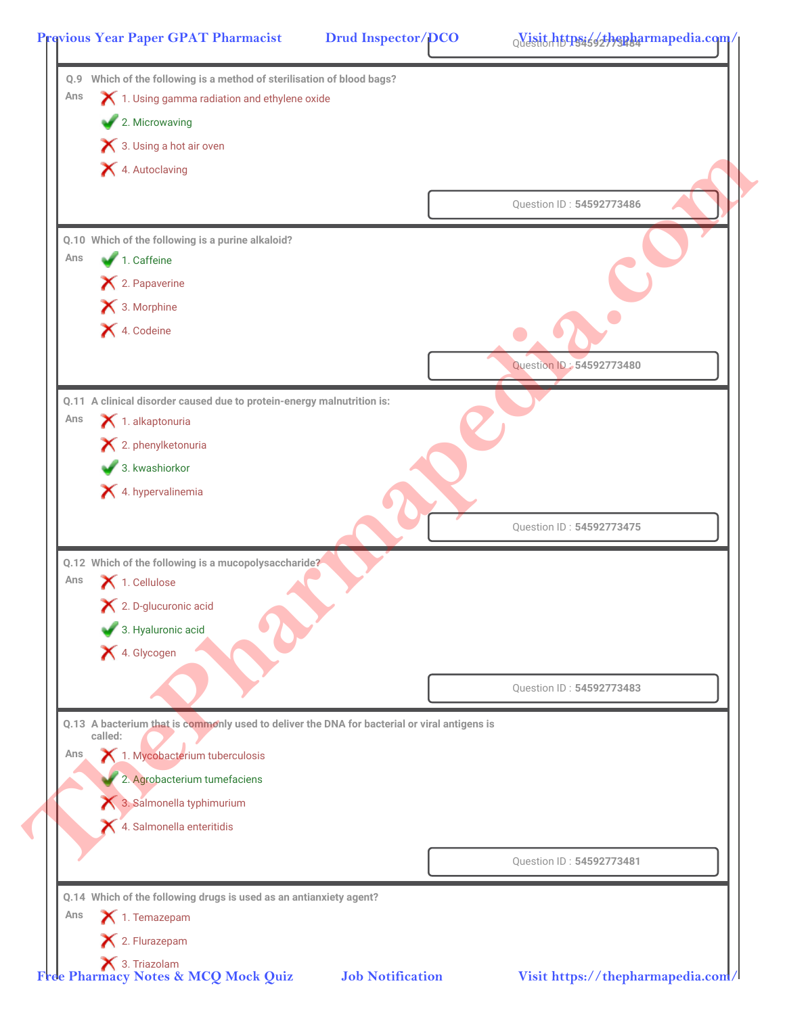|     | 3. Using a hot air oven                                                                      |                          |
|-----|----------------------------------------------------------------------------------------------|--------------------------|
|     | 4. Autoclaving                                                                               |                          |
|     |                                                                                              | Question ID: 54592773486 |
|     | Q.10 Which of the following is a purine alkaloid?                                            |                          |
| Ans | 1. Caffeine                                                                                  |                          |
|     | X 2. Papaverine<br>X 3. Morphine                                                             |                          |
|     | X 4. Codeine                                                                                 |                          |
|     |                                                                                              |                          |
|     |                                                                                              | Question ID: 54592773480 |
|     | Q.11 A clinical disorder caused due to protein-energy malnutrition is:                       |                          |
| Ans | $\blacktriangleright$ 1. alkaptonuria                                                        |                          |
|     | $\mathsf{\times}$ 2. phenylketonuria                                                         |                          |
|     | 3. kwashiorkor                                                                               |                          |
|     | X 4. hypervalinemia                                                                          |                          |
|     |                                                                                              | Question ID: 54592773475 |
|     |                                                                                              |                          |
| Ans | Q.12 Which of the following is a mucopolysaccharide?                                         |                          |
|     | 1. Cellulose<br>$\blacktriangleright$ 2. D-glucuronic acid                                   |                          |
|     | 3. Hyaluronic acid                                                                           |                          |
|     | X 4. Glycogen                                                                                |                          |
|     |                                                                                              |                          |
|     |                                                                                              | Question ID: 54592773483 |
|     | Q.13 A bacterium that is commonly used to deliver the DNA for bacterial or viral antigens is |                          |
| Ans | called:<br>1. Mycobacterium tuberculosis                                                     |                          |
|     | 2. Agrobacterium tumefaciens                                                                 |                          |
|     | 3. Salmonella typhimurium                                                                    |                          |
|     | 4. Salmonella enteritidis                                                                    |                          |
|     |                                                                                              |                          |
|     |                                                                                              | Question ID: 54592773481 |
|     | Q.14 Which of the following drugs is used as an antianxiety agent?                           |                          |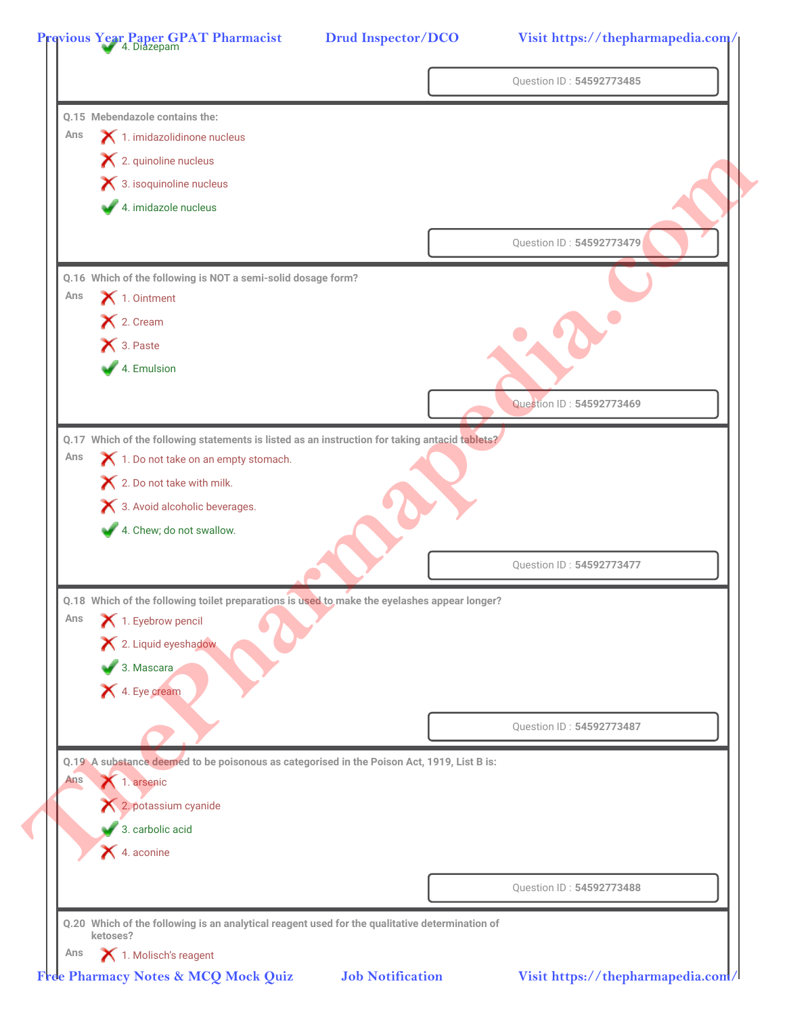|     |                                                                                                | Question ID: 54592773485 |
|-----|------------------------------------------------------------------------------------------------|--------------------------|
|     | 0.15 Mebendazole contains the:                                                                 |                          |
| Ans | 1. imidazolidinone nucleus                                                                     |                          |
|     | X 2. quinoline nucleus                                                                         |                          |
|     | 3. isoquinoline nucleus                                                                        |                          |
|     | 4. imidazole nucleus                                                                           |                          |
|     |                                                                                                | Question ID: 54592773479 |
|     | Q.16 Which of the following is NOT a semi-solid dosage form?                                   |                          |
| Ans | $\blacktriangleright$ 1. Ointment                                                              |                          |
|     | X 2. Cream                                                                                     |                          |
|     | X 3. Paste                                                                                     |                          |
|     | 4. Emulsion                                                                                    |                          |
|     |                                                                                                | Question ID: 54592773469 |
|     | Q.17 Which of the following statements is listed as an instruction for taking antacid tablets? |                          |
| Ans | 1. Do not take on an empty stomach.                                                            |                          |
|     | × 2. Do not take with milk.                                                                    |                          |
|     | X 3. Avoid alcoholic beverages.                                                                |                          |
|     | 4. Chew; do not swallow.                                                                       |                          |
|     |                                                                                                | Question ID: 54592773477 |
|     | Q.18 Which of the following toilet preparations is used to make the eyelashes appear longer?   |                          |
| Ans | 1. Eyebrow pencil                                                                              |                          |
|     | X 2. Liquid eyeshadow                                                                          |                          |
|     | 3. Mascara                                                                                     |                          |
|     | 1. Eye cream                                                                                   |                          |
|     |                                                                                                | Question ID: 54592773487 |
|     | Q.19 A substance deemed to be poisonous as categorised in the Poison Act, 1919, List B is:     |                          |
| Ans | 1. arsenic                                                                                     |                          |
|     | 2. potassium cyanide                                                                           |                          |
|     | 3. carbolic acid                                                                               |                          |
|     | $\blacktriangleright$ 4. aconine                                                               |                          |
|     |                                                                                                | Question ID: 54592773488 |
|     |                                                                                                |                          |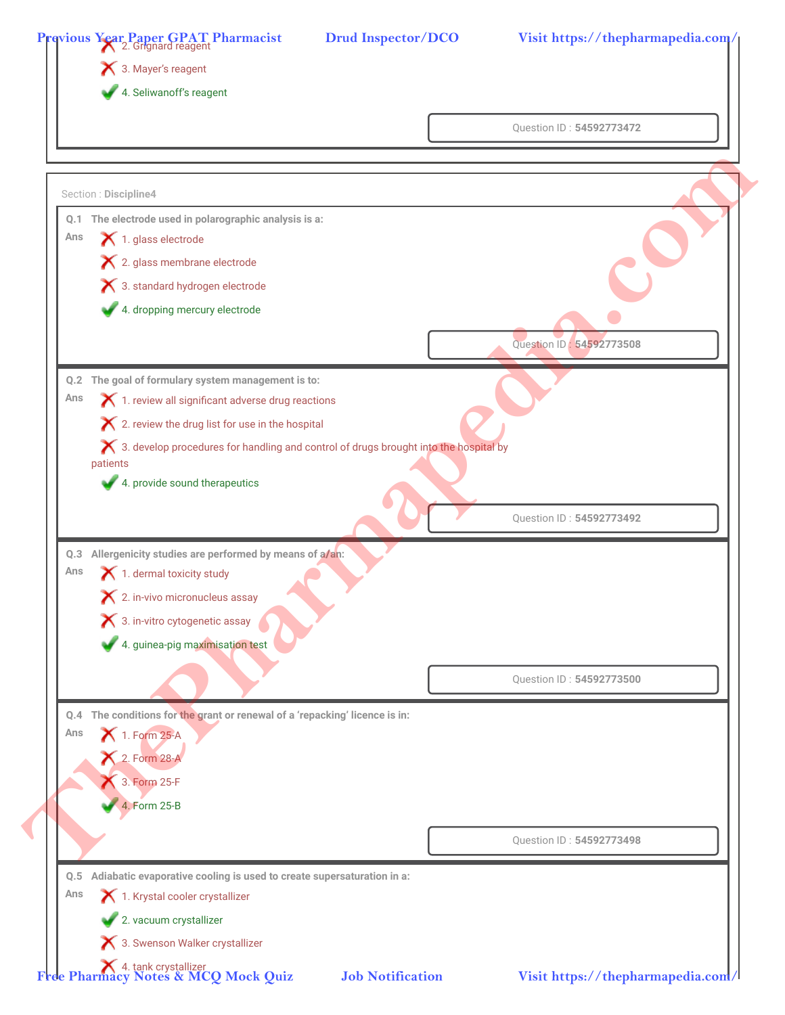|     | 4. Seliwanoff's reagent                                                                |                          |
|-----|----------------------------------------------------------------------------------------|--------------------------|
|     |                                                                                        | Question ID: 54592773472 |
|     |                                                                                        |                          |
|     | Section: Discipline4                                                                   |                          |
|     | Q.1 The electrode used in polarographic analysis is a:                                 |                          |
| Ans | 1. glass electrode                                                                     |                          |
|     | X 2. glass membrane electrode                                                          |                          |
|     | 3. standard hydrogen electrode                                                         |                          |
|     | 4. dropping mercury electrode                                                          |                          |
|     |                                                                                        | Question ID: 54592773508 |
|     | Q.2 The goal of formulary system management is to:                                     |                          |
| Ans | 1. review all significant adverse drug reactions                                       |                          |
|     | X 2. review the drug list for use in the hospital                                      |                          |
|     | X 3. develop procedures for handling and control of drugs brought into the hospital by |                          |
|     | patients                                                                               |                          |
|     | 4. provide sound therapeutics                                                          |                          |
|     |                                                                                        | Question ID: 54592773492 |
|     | Q.3 Allergenicity studies are performed by means of a/an:                              |                          |
| Ans | 1. dermal toxicity study                                                               |                          |
|     | $\boldsymbol{\times}$ 2. in-vivo micronucleus assay                                    |                          |
|     | X 3. in-vitro cytogenetic assay                                                        |                          |
|     | 4. guinea-pig maximisation test                                                        |                          |
|     |                                                                                        |                          |
|     |                                                                                        | Question ID: 54592773500 |
|     | Q.4 The conditions for the grant or renewal of a 'repacking' licence is in:            |                          |
| Ans | 1. Form 25-A                                                                           |                          |
|     | 2. Form 28-A                                                                           |                          |
|     | 3. Form 25-F                                                                           |                          |
|     | 4. Form 25-B                                                                           |                          |
|     |                                                                                        |                          |
|     |                                                                                        | Question ID: 54592773498 |
| Q.5 | Adiabatic evaporative cooling is used to create supersaturation in a:                  |                          |
|     | 1. Krystal cooler crystallizer                                                         |                          |
| Ans |                                                                                        |                          |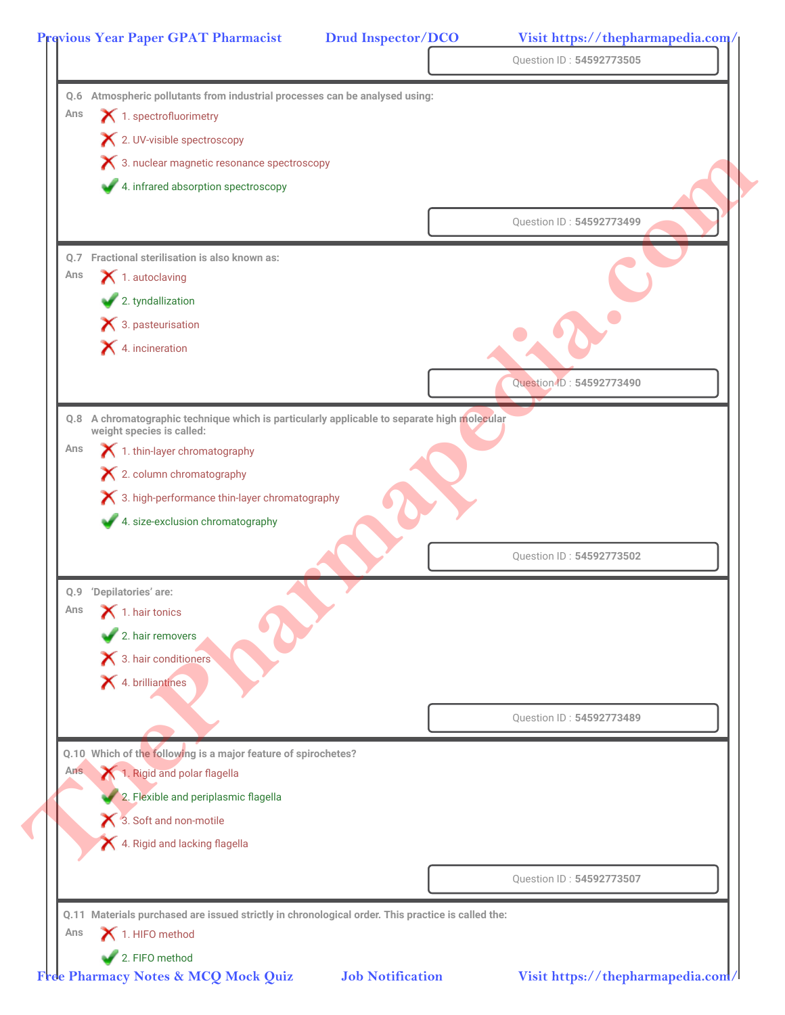|      |                                                                                                   |  | Question ID: 54592773505 |  |  |
|------|---------------------------------------------------------------------------------------------------|--|--------------------------|--|--|
|      | Q.6 Atmospheric pollutants from industrial processes can be analysed using:                       |  |                          |  |  |
| Ans  | $\blacktriangleright$ 1. spectrofluorimetry                                                       |  |                          |  |  |
|      | X 2. UV-visible spectroscopy                                                                      |  |                          |  |  |
|      | 8. nuclear magnetic resonance spectroscopy                                                        |  |                          |  |  |
|      | 4. infrared absorption spectroscopy                                                               |  |                          |  |  |
|      |                                                                                                   |  |                          |  |  |
|      |                                                                                                   |  | Question ID: 54592773499 |  |  |
| 0.7  | Fractional sterilisation is also known as:                                                        |  |                          |  |  |
| Ans  | $\bigtimes$ 1. autoclaving                                                                        |  |                          |  |  |
|      | 2. tyndallization                                                                                 |  |                          |  |  |
|      | $\bigtimes$ 3. pasteurisation                                                                     |  |                          |  |  |
|      | $\blacktriangleright$ 4. incineration                                                             |  |                          |  |  |
|      |                                                                                                   |  |                          |  |  |
|      |                                                                                                   |  | Question (D: 54592773490 |  |  |
|      | Q.8 A chromatographic technique which is particularly applicable to separate high molecular       |  |                          |  |  |
|      | weight species is called:                                                                         |  |                          |  |  |
| Ans  | 1. thin-layer chromatography                                                                      |  |                          |  |  |
|      | X 2. column chromatography                                                                        |  |                          |  |  |
|      | X 3. high-performance thin-layer chromatography                                                   |  |                          |  |  |
|      | 4. size-exclusion chromatography                                                                  |  |                          |  |  |
|      |                                                                                                   |  | Question ID: 54592773502 |  |  |
|      |                                                                                                   |  |                          |  |  |
|      | Q.9 'Depilatories' are:                                                                           |  |                          |  |  |
| Ans  | $\bigtimes$ 1. hair tonics                                                                        |  |                          |  |  |
|      | 2. hair removers                                                                                  |  |                          |  |  |
|      | 3. hair conditioners                                                                              |  |                          |  |  |
|      | 1. brilliantines                                                                                  |  |                          |  |  |
|      |                                                                                                   |  | Question ID: 54592773489 |  |  |
|      |                                                                                                   |  |                          |  |  |
|      | Q.10 Which of the following is a major feature of spirochetes?                                    |  |                          |  |  |
| Ans. | 1. Rigid and polar flagella                                                                       |  |                          |  |  |
|      | 2. Flexible and periplasmic flagella                                                              |  |                          |  |  |
|      | 3. Soft and non-motile                                                                            |  |                          |  |  |
|      | 4. Rigid and lacking flagella                                                                     |  |                          |  |  |
|      |                                                                                                   |  |                          |  |  |
|      |                                                                                                   |  | Question ID: 54592773507 |  |  |
|      |                                                                                                   |  |                          |  |  |
|      | Q.11 Materials purchased are issued strictly in chronological order. This practice is called the: |  |                          |  |  |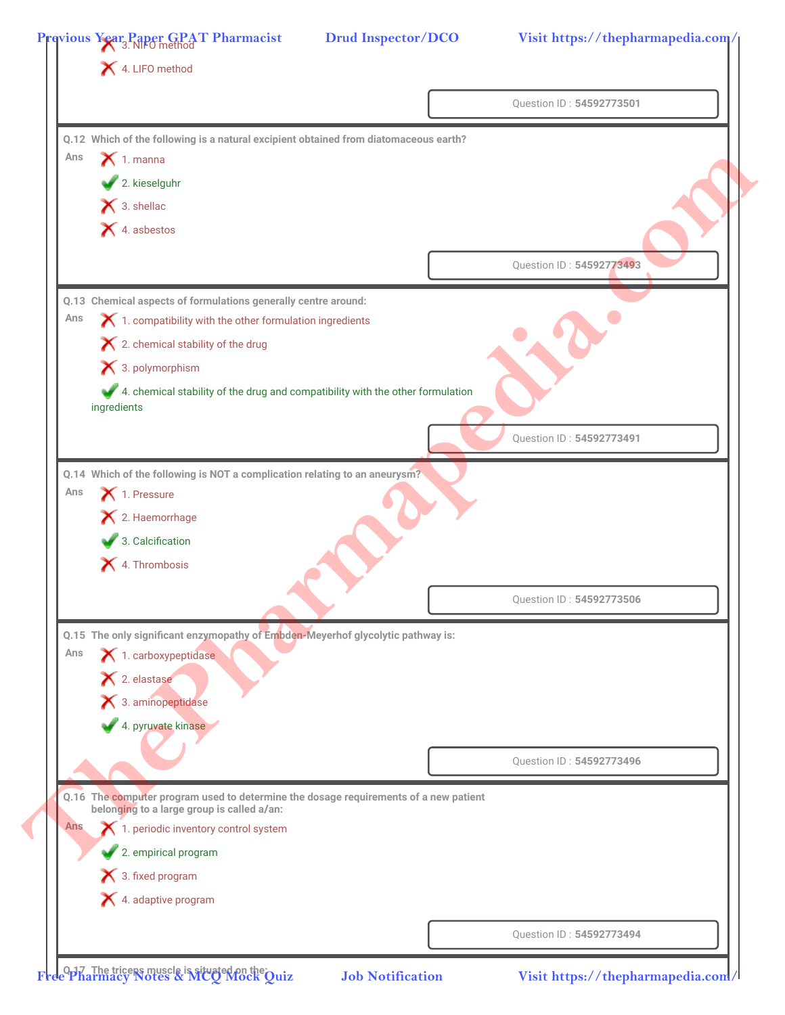|            | 4. LIFO method                                                                                                                     |                          |
|------------|------------------------------------------------------------------------------------------------------------------------------------|--------------------------|
|            |                                                                                                                                    | Question ID: 54592773501 |
|            | Q.12 Which of the following is a natural excipient obtained from diatomaceous earth?                                               |                          |
| Ans        | $\bigtimes$ 1. manna                                                                                                               |                          |
|            | 2. kieselguhr                                                                                                                      |                          |
|            | $\bigtimes$ 3. shellac                                                                                                             |                          |
|            | $\blacktriangleright$ 4. asbestos                                                                                                  |                          |
|            |                                                                                                                                    |                          |
|            |                                                                                                                                    | Question ID: 54592773493 |
|            | Q.13 Chemical aspects of formulations generally centre around:                                                                     |                          |
| Ans        | 1. compatibility with the other formulation ingredients                                                                            |                          |
|            | $\blacktriangleright$ 2. chemical stability of the drug                                                                            |                          |
|            | $\blacktriangleright$ 3. polymorphism                                                                                              |                          |
|            | 4. chemical stability of the drug and compatibility with the other formulation<br>ingredients                                      |                          |
|            |                                                                                                                                    |                          |
|            |                                                                                                                                    | Question ID: 54592773491 |
|            | Q.14 Which of the following is NOT a complication relating to an aneurysm?                                                         |                          |
| Ans        | 1. Pressure                                                                                                                        |                          |
|            | X 2. Haemorrhage                                                                                                                   |                          |
|            | 3. Calcification                                                                                                                   |                          |
|            | 4. Thrombosis                                                                                                                      |                          |
|            |                                                                                                                                    | Question ID: 54592773506 |
|            |                                                                                                                                    |                          |
|            | Q.15 The only significant enzymopathy of Embden-Meyerhof glycolytic pathway is:                                                    |                          |
| Ans        | 1. carboxypeptidase                                                                                                                |                          |
|            | $\blacktriangleright$ 2. elastase                                                                                                  |                          |
|            | 3. aminopeptidase                                                                                                                  |                          |
|            | 4. pyruvate kinase                                                                                                                 |                          |
|            |                                                                                                                                    | Question ID: 54592773496 |
|            |                                                                                                                                    |                          |
|            | Q.16 The computer program used to determine the dosage requirements of a new patient<br>belonging to a large group is called a/an: |                          |
| <b>Ans</b> | 1. periodic inventory control system                                                                                               |                          |
|            | 2. empirical program                                                                                                               |                          |
|            | 3. fixed program                                                                                                                   |                          |
|            | 4. adaptive program                                                                                                                |                          |
|            |                                                                                                                                    |                          |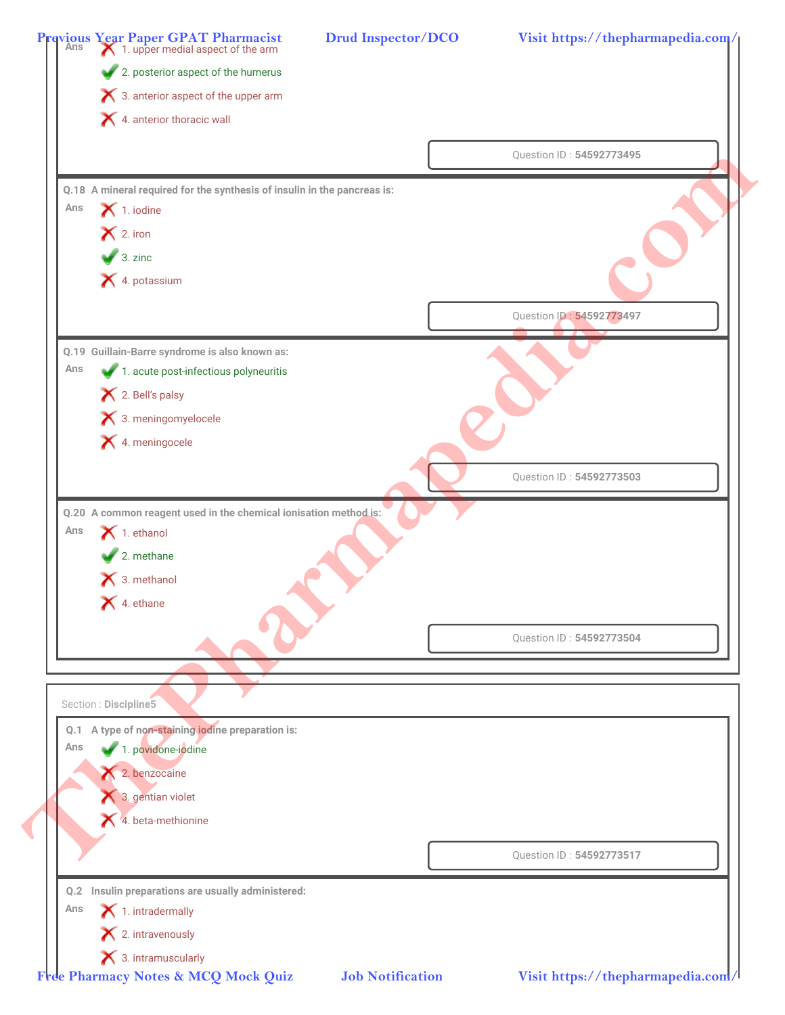|     | <b>Previous Year Paper GPAT Pharmacist</b><br>Ans <b>A</b> 1. upper medial aspect of the arm |                          |
|-----|----------------------------------------------------------------------------------------------|--------------------------|
|     | 2. posterior aspect of the humerus                                                           |                          |
|     | $\boldsymbol{\times}$ 3. anterior aspect of the upper arm                                    |                          |
|     | 4. anterior thoracic wall                                                                    |                          |
|     |                                                                                              | Question ID: 54592773495 |
|     | Q.18 A mineral required for the synthesis of insulin in the pancreas is:                     |                          |
| Ans | $\blacktriangleright$ 1. iodine                                                              |                          |
|     | $\mathsf{X}$ 2. iron                                                                         |                          |
|     | $\bigvee$ 3. zinc                                                                            |                          |
|     | X 4. potassium                                                                               |                          |
|     |                                                                                              | Question ID: 54592773497 |
|     |                                                                                              |                          |
|     | Q.19 Guillain-Barre syndrome is also known as:                                               |                          |
| Ans | 1. acute post-infectious polyneuritis                                                        |                          |
|     | X 2. Bell's palsy                                                                            |                          |
|     | <b>★</b> 3. meningomyelocele                                                                 |                          |
|     | <b>★</b> 4. meningocele                                                                      |                          |
|     |                                                                                              | Question ID: 54592773503 |
|     | Q.20 A common reagent used in the chemical ionisation method is:                             |                          |
| Ans | $\blacktriangleright$ 1. ethanol                                                             |                          |
|     | $\sqrt{2}$ . methane                                                                         |                          |
|     | $\blacktriangleright$ 3. methanol                                                            |                          |
|     | $\blacktriangleright$ 4. ethane                                                              |                          |
|     |                                                                                              |                          |
|     |                                                                                              | Question ID: 54592773504 |
|     |                                                                                              |                          |
|     | Section : Discipline5                                                                        |                          |
|     |                                                                                              |                          |
|     | Q.1 A type of non-staining iodine preparation is:                                            |                          |
| Ans | 1. povidone-iodine                                                                           |                          |
|     | 2. benzocaine                                                                                |                          |
|     | 3. gentian violet                                                                            |                          |
|     | $\blacktriangle$ 4. beta-methionine                                                          |                          |
|     |                                                                                              |                          |
|     |                                                                                              | Question ID: 54592773517 |
|     | Q.2 Insulin preparations are usually administered:                                           |                          |
| Ans | $\blacktriangleright$ 1. intradermally<br>$\blacktriangleright$ 2. intravenously             |                          |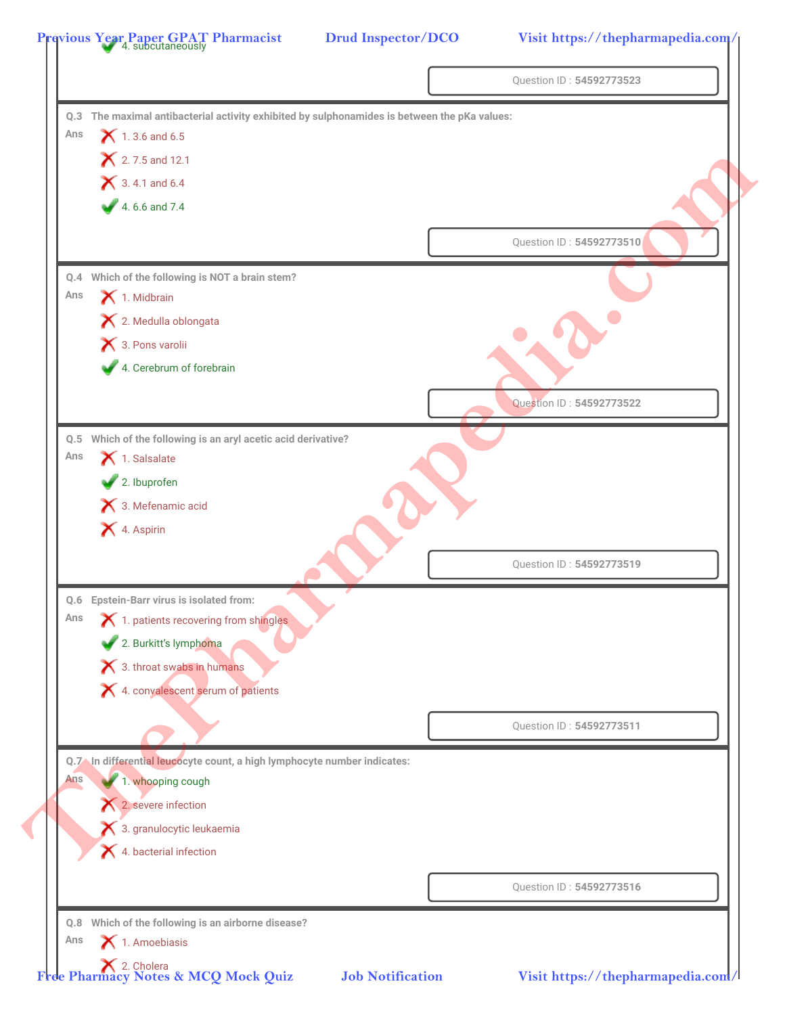|     |                                                                                              | Question ID: 54592773523 |
|-----|----------------------------------------------------------------------------------------------|--------------------------|
|     | Q.3 The maximal antibacterial activity exhibited by sulphonamides is between the pKa values: |                          |
| Ans | $X$ 1.3.6 and 6.5                                                                            |                          |
|     | 2.7.5 and 12.1                                                                               |                          |
|     | $\bigtimes$ 3.4.1 and 6.4                                                                    |                          |
|     | 4.6.6 and 7.4                                                                                |                          |
|     |                                                                                              | Question ID: 54592773510 |
|     | Q.4 Which of the following is NOT a brain stem?                                              |                          |
| Ans | 1. Midbrain                                                                                  |                          |
|     | X 2. Medulla oblongata                                                                       |                          |
|     | 3. Pons varolii                                                                              |                          |
|     | 4. Cerebrum of forebrain                                                                     |                          |
|     |                                                                                              | Question ID: 54592773522 |
|     | Q.5 Which of the following is an aryl acetic acid derivative?                                |                          |
| Ans | 1. Salsalate                                                                                 |                          |
|     | 2. Ibuprofen                                                                                 |                          |
|     | 3. Mefenamic acid                                                                            |                          |
|     | X 4. Aspirin                                                                                 |                          |
|     |                                                                                              | Question ID: 54592773519 |
| Q.6 | <b>Epstein-Barr virus is isolated from:</b>                                                  |                          |
| Ans | X 1. patients recovering from shingles                                                       |                          |
|     | 2. Burkitt's lymphoma                                                                        |                          |
|     | X 3. throat swabs in humans                                                                  |                          |
|     | X 4. convalescent serum of patients                                                          |                          |
|     |                                                                                              | Question ID: 54592773511 |
|     |                                                                                              |                          |
|     | Q.7 In differential leucocyte count, a high lymphocyte number indicates:                     |                          |
| Ans | 1. whooping cough                                                                            |                          |
|     | 2. severe infection                                                                          |                          |
|     | 3. granulocytic leukaemia                                                                    |                          |
|     | 4. bacterial infection                                                                       |                          |
|     |                                                                                              | Question ID: 54592773516 |
|     | Q.8 Which of the following is an airborne disease?                                           |                          |
| Ans | 1. Amoebiasis                                                                                |                          |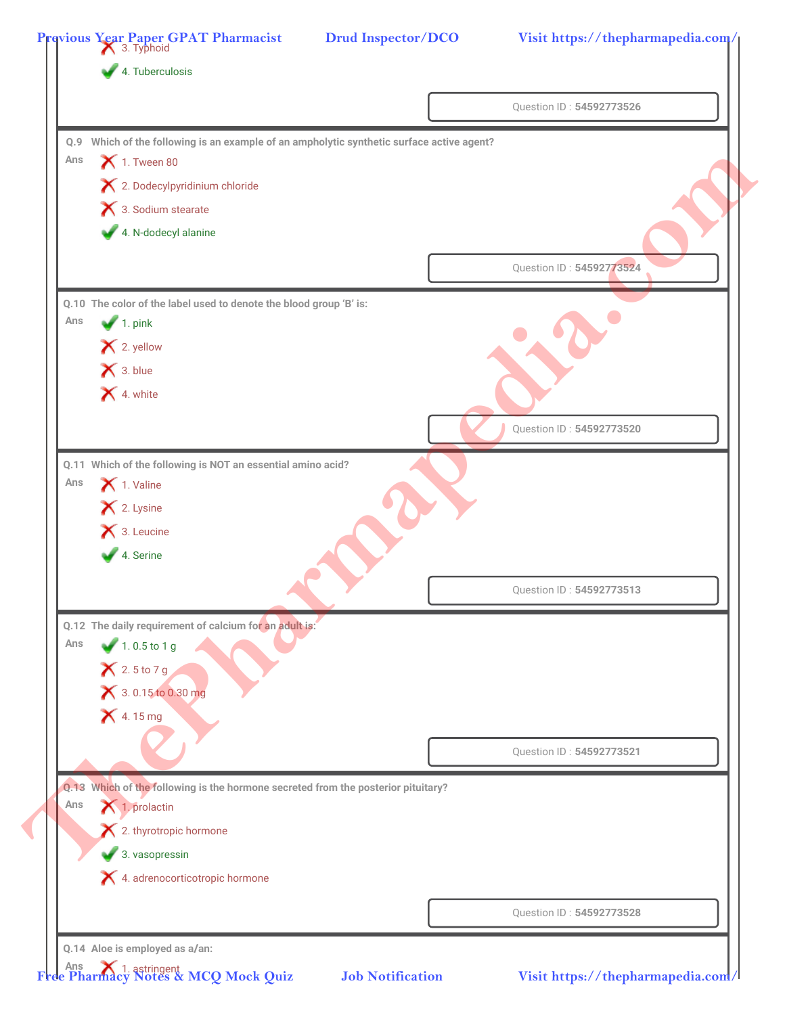| Q.9 Which of the following is an example of an ampholytic synthetic surface active agent?<br>$\blacktriangleright$ 1. Tween 80<br>X 2. Dodecylpyridinium chloride<br>3. Sodium stearate<br>4. N-dodecyl alanine<br>Q.10 The color of the label used to denote the blood group 'B' is:<br>$\blacktriangleright$ 1. pink<br>$\blacktriangleright$ 2. yellow |                                                                                                                         | Question ID: 54592773524                                                                                                                                                                                   |
|-----------------------------------------------------------------------------------------------------------------------------------------------------------------------------------------------------------------------------------------------------------------------------------------------------------------------------------------------------------|-------------------------------------------------------------------------------------------------------------------------|------------------------------------------------------------------------------------------------------------------------------------------------------------------------------------------------------------|
|                                                                                                                                                                                                                                                                                                                                                           |                                                                                                                         |                                                                                                                                                                                                            |
|                                                                                                                                                                                                                                                                                                                                                           |                                                                                                                         |                                                                                                                                                                                                            |
|                                                                                                                                                                                                                                                                                                                                                           |                                                                                                                         |                                                                                                                                                                                                            |
|                                                                                                                                                                                                                                                                                                                                                           |                                                                                                                         |                                                                                                                                                                                                            |
|                                                                                                                                                                                                                                                                                                                                                           |                                                                                                                         |                                                                                                                                                                                                            |
|                                                                                                                                                                                                                                                                                                                                                           |                                                                                                                         |                                                                                                                                                                                                            |
|                                                                                                                                                                                                                                                                                                                                                           |                                                                                                                         |                                                                                                                                                                                                            |
|                                                                                                                                                                                                                                                                                                                                                           |                                                                                                                         |                                                                                                                                                                                                            |
|                                                                                                                                                                                                                                                                                                                                                           |                                                                                                                         |                                                                                                                                                                                                            |
| $\mathsf{X}$ 3. blue                                                                                                                                                                                                                                                                                                                                      |                                                                                                                         |                                                                                                                                                                                                            |
| 4. white                                                                                                                                                                                                                                                                                                                                                  |                                                                                                                         |                                                                                                                                                                                                            |
|                                                                                                                                                                                                                                                                                                                                                           |                                                                                                                         |                                                                                                                                                                                                            |
|                                                                                                                                                                                                                                                                                                                                                           |                                                                                                                         | Question ID: 54592773520                                                                                                                                                                                   |
|                                                                                                                                                                                                                                                                                                                                                           |                                                                                                                         |                                                                                                                                                                                                            |
|                                                                                                                                                                                                                                                                                                                                                           |                                                                                                                         |                                                                                                                                                                                                            |
|                                                                                                                                                                                                                                                                                                                                                           |                                                                                                                         |                                                                                                                                                                                                            |
|                                                                                                                                                                                                                                                                                                                                                           |                                                                                                                         |                                                                                                                                                                                                            |
|                                                                                                                                                                                                                                                                                                                                                           |                                                                                                                         |                                                                                                                                                                                                            |
|                                                                                                                                                                                                                                                                                                                                                           |                                                                                                                         | Question ID: 54592773513                                                                                                                                                                                   |
|                                                                                                                                                                                                                                                                                                                                                           |                                                                                                                         |                                                                                                                                                                                                            |
| $1.0.5$ to 1 g                                                                                                                                                                                                                                                                                                                                            |                                                                                                                         |                                                                                                                                                                                                            |
| $X$ 2.5 to 7 g                                                                                                                                                                                                                                                                                                                                            |                                                                                                                         |                                                                                                                                                                                                            |
| 3.0.15 to 0.30 mg                                                                                                                                                                                                                                                                                                                                         |                                                                                                                         |                                                                                                                                                                                                            |
| <b>X</b> 4.15 mg                                                                                                                                                                                                                                                                                                                                          |                                                                                                                         |                                                                                                                                                                                                            |
|                                                                                                                                                                                                                                                                                                                                                           |                                                                                                                         |                                                                                                                                                                                                            |
|                                                                                                                                                                                                                                                                                                                                                           |                                                                                                                         | Question ID: 54592773521                                                                                                                                                                                   |
|                                                                                                                                                                                                                                                                                                                                                           |                                                                                                                         |                                                                                                                                                                                                            |
| 1. prolactin                                                                                                                                                                                                                                                                                                                                              |                                                                                                                         |                                                                                                                                                                                                            |
|                                                                                                                                                                                                                                                                                                                                                           |                                                                                                                         |                                                                                                                                                                                                            |
|                                                                                                                                                                                                                                                                                                                                                           |                                                                                                                         |                                                                                                                                                                                                            |
| X 4. adrenocorticotropic hormone                                                                                                                                                                                                                                                                                                                          |                                                                                                                         |                                                                                                                                                                                                            |
|                                                                                                                                                                                                                                                                                                                                                           |                                                                                                                         | Question ID: 54592773528                                                                                                                                                                                   |
|                                                                                                                                                                                                                                                                                                                                                           | 1. Valine<br>X 2. Lysine<br>$\bigtimes$ 3. Leucine<br>4. Serine<br>$\bigtimes$ 2. thyrotropic hormone<br>3. vasopressin | Q.11 Which of the following is NOT an essential amino acid?<br>Q.12 The daily requirement of calcium for an adult is:<br>Q.13 Which of the following is the hormone secreted from the posterior pituitary? |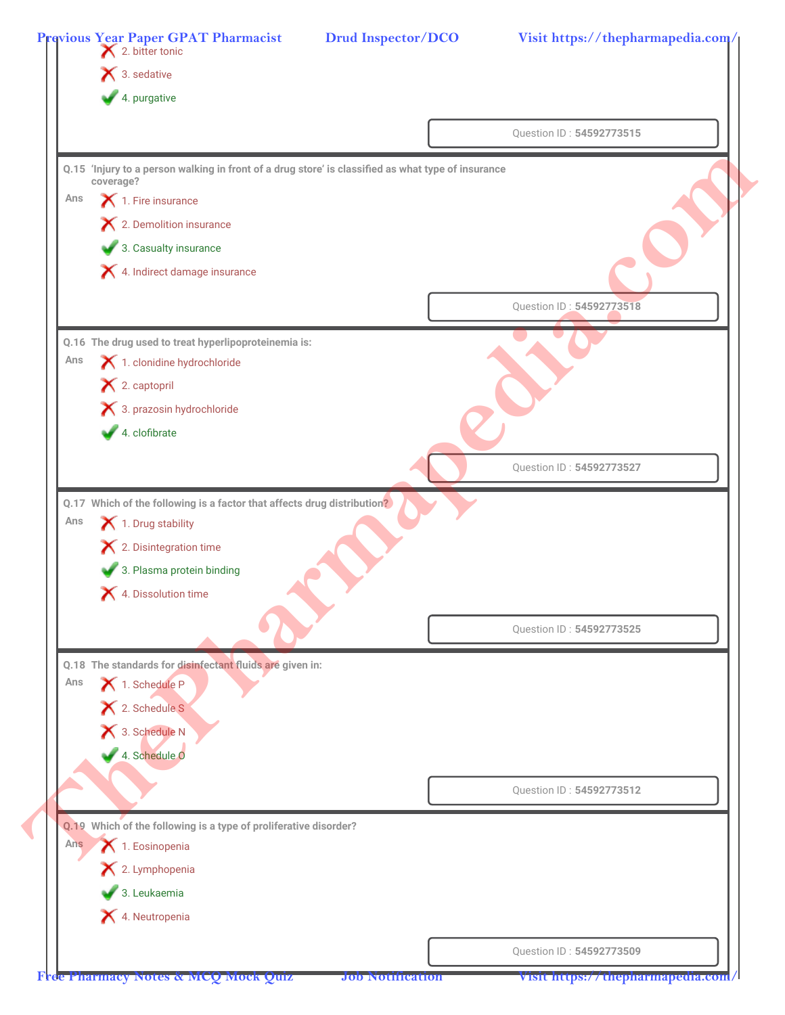|     | <b>Previous Year Paper GPAT Pharmacist</b><br><b>X</b> 2. bitter tonic                                          |                          |
|-----|-----------------------------------------------------------------------------------------------------------------|--------------------------|
|     | $\bigtimes$ 3. sedative                                                                                         |                          |
|     | 4. purgative                                                                                                    |                          |
|     |                                                                                                                 | Question ID: 54592773515 |
|     |                                                                                                                 |                          |
|     | Q.15 'Injury to a person walking in front of a drug store' is classified as what type of insurance<br>coverage? |                          |
| Ans | 1. Fire insurance                                                                                               |                          |
|     | X 2. Demolition insurance                                                                                       |                          |
|     | 3. Casualty insurance                                                                                           |                          |
|     | X 4. Indirect damage insurance                                                                                  |                          |
|     |                                                                                                                 | Question ID: 54592773518 |
|     |                                                                                                                 |                          |
|     | Q.16 The drug used to treat hyperlipoproteinemia is:                                                            |                          |
| Ans | 1. clonidine hydrochloride                                                                                      |                          |
|     | X 2. captopril                                                                                                  |                          |
|     | 3. prazosin hydrochloride                                                                                       |                          |
|     | 4. clofibrate                                                                                                   |                          |
|     |                                                                                                                 | Question ID: 54592773527 |
|     |                                                                                                                 |                          |
|     | Q.17 Which of the following is a factor that affects drug distribution?                                         |                          |
| Ans | 1. Drug stability                                                                                               |                          |
|     | X 2. Disintegration time                                                                                        |                          |
|     | 3. Plasma protein binding                                                                                       |                          |
|     | 4. Dissolution time                                                                                             |                          |
|     |                                                                                                                 | Question ID: 54592773525 |
|     |                                                                                                                 |                          |
| Ans | Q.18 The standards for disinfectant fluids are given in:<br>1. Schedule P                                       |                          |
|     | X 2. Schedule S                                                                                                 |                          |
|     | 1 3. Schedule N                                                                                                 |                          |
|     | 4. Schedule O                                                                                                   |                          |
|     |                                                                                                                 |                          |
|     |                                                                                                                 | Question ID: 54592773512 |
|     |                                                                                                                 |                          |
| Ans | Q.19 Which of the following is a type of proliferative disorder?<br>1. Eosinopenia                              |                          |
|     | X 2. Lymphopenia                                                                                                |                          |
|     | $\bullet$ 3. Leukaemia                                                                                          |                          |
|     | 4. Neutropenia                                                                                                  |                          |
|     |                                                                                                                 |                          |
|     |                                                                                                                 |                          |